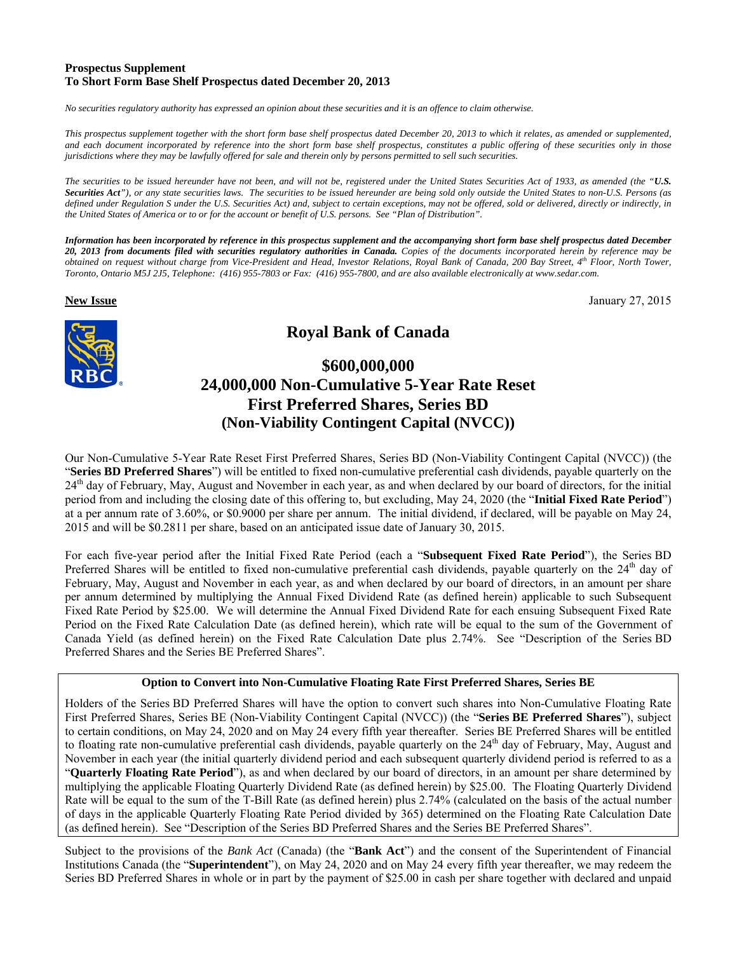# **Prospectus Supplement To Short Form Base Shelf Prospectus dated December 20, 2013**

*No securities regulatory authority has expressed an opinion about these securities and it is an offence to claim otherwise.* 

*This prospectus supplement together with the short form base shelf prospectus dated December 20, 2013 to which it relates, as amended or supplemented, and each document incorporated by reference into the short form base shelf prospectus, constitutes a public offering of these securities only in those jurisdictions where they may be lawfully offered for sale and therein only by persons permitted to sell such securities.* 

*The securities to be issued hereunder have not been, and will not be, registered under the United States Securities Act of 1933, as amended (the "U.S. Securities Act"), or any state securities laws. The securities to be issued hereunder are being sold only outside the United States to non-U.S. Persons (as defined under Regulation S under the U.S. Securities Act) and, subject to certain exceptions, may not be offered, sold or delivered, directly or indirectly, in the United States of America or to or for the account or benefit of U.S. persons. See "Plan of Distribution".* 

*Information has been incorporated by reference in this prospectus supplement and the accompanying short form base shelf prospectus dated December 20, 2013 from documents filed with securities regulatory authorities in Canada. Copies of the documents incorporated herein by reference may be obtained on request without charge from Vice-President and Head, Investor Relations, Royal Bank of Canada, 200 Bay Street, 4th Floor, North Tower, Toronto, Ontario M5J 2J5, Telephone: (416) 955-7803 or Fax: (416) 955-7800, and are also available electronically at www.sedar.com.* 

**New Issue** January 27, 2015



# **Royal Bank of Canada**

# **\$600,000,000 24,000,000 Non-Cumulative 5-Year Rate Reset First Preferred Shares, Series BD (Non-Viability Contingent Capital (NVCC))**

Our Non-Cumulative 5-Year Rate Reset First Preferred Shares, Series BD (Non-Viability Contingent Capital (NVCC)) (the "**Series BD Preferred Shares**") will be entitled to fixed non-cumulative preferential cash dividends, payable quarterly on the 24<sup>th</sup> day of February, May, August and November in each year, as and when declared by our board of directors, for the initial period from and including the closing date of this offering to, but excluding, May 24, 2020 (the "**Initial Fixed Rate Period**") at a per annum rate of 3.60%, or \$0.9000 per share per annum. The initial dividend, if declared, will be payable on May 24, 2015 and will be \$0.2811 per share, based on an anticipated issue date of January 30, 2015.

For each five-year period after the Initial Fixed Rate Period (each a "**Subsequent Fixed Rate Period**"), the Series BD Preferred Shares will be entitled to fixed non-cumulative preferential cash dividends, payable quarterly on the  $24<sup>th</sup>$  day of February, May, August and November in each year, as and when declared by our board of directors, in an amount per share per annum determined by multiplying the Annual Fixed Dividend Rate (as defined herein) applicable to such Subsequent Fixed Rate Period by \$25.00. We will determine the Annual Fixed Dividend Rate for each ensuing Subsequent Fixed Rate Period on the Fixed Rate Calculation Date (as defined herein), which rate will be equal to the sum of the Government of Canada Yield (as defined herein) on the Fixed Rate Calculation Date plus 2.74%. See "Description of the Series BD Preferred Shares and the Series BE Preferred Shares".

# **Option to Convert into Non-Cumulative Floating Rate First Preferred Shares, Series BE**

Holders of the Series BD Preferred Shares will have the option to convert such shares into Non-Cumulative Floating Rate First Preferred Shares, Series BE (Non-Viability Contingent Capital (NVCC)) (the "**Series BE Preferred Shares**"), subject to certain conditions, on May 24, 2020 and on May 24 every fifth year thereafter. Series BE Preferred Shares will be entitled to floating rate non-cumulative preferential cash dividends, payable quarterly on the 24<sup>th</sup> day of February, May, August and November in each year (the initial quarterly dividend period and each subsequent quarterly dividend period is referred to as a "**Quarterly Floating Rate Period**"), as and when declared by our board of directors, in an amount per share determined by multiplying the applicable Floating Quarterly Dividend Rate (as defined herein) by \$25.00. The Floating Quarterly Dividend Rate will be equal to the sum of the T-Bill Rate (as defined herein) plus 2.74% (calculated on the basis of the actual number of days in the applicable Quarterly Floating Rate Period divided by 365) determined on the Floating Rate Calculation Date (as defined herein). See "Description of the Series BD Preferred Shares and the Series BE Preferred Shares".

Subject to the provisions of the *Bank Act* (Canada) (the "**Bank Act**") and the consent of the Superintendent of Financial Institutions Canada (the "**Superintendent**"), on May 24, 2020 and on May 24 every fifth year thereafter, we may redeem the Series BD Preferred Shares in whole or in part by the payment of \$25.00 in cash per share together with declared and unpaid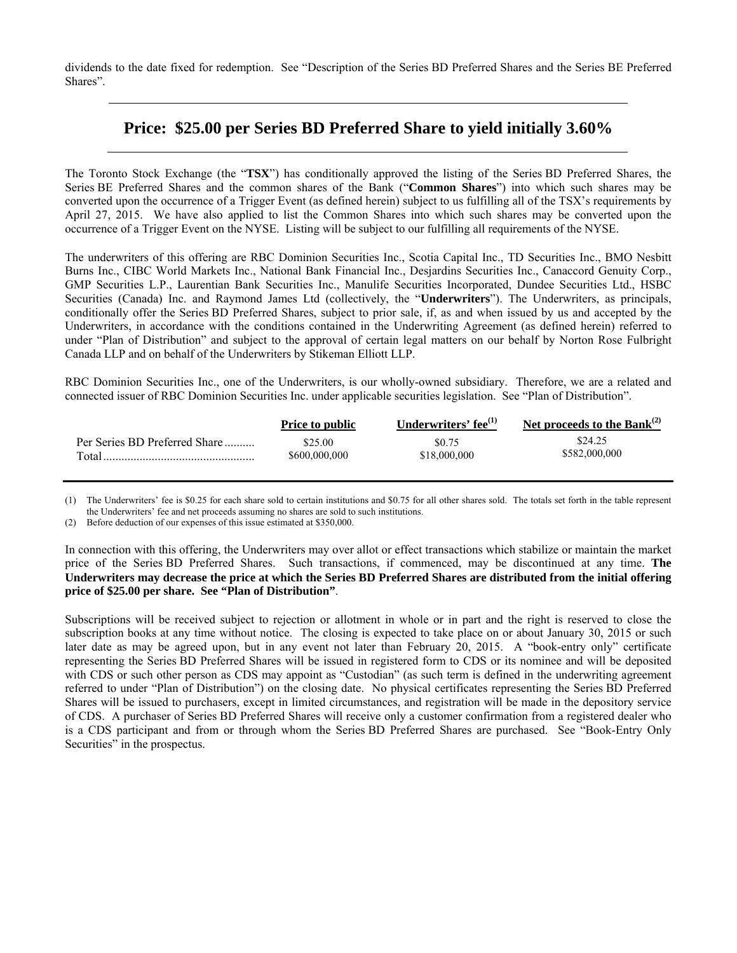dividends to the date fixed for redemption. See "Description of the Series BD Preferred Shares and the Series BE Preferred Shares".

# **Price: \$25.00 per Series BD Preferred Share to yield initially 3.60%**

The Toronto Stock Exchange (the "**TSX**") has conditionally approved the listing of the Series BD Preferred Shares, the Series BE Preferred Shares and the common shares of the Bank ("**Common Shares**") into which such shares may be converted upon the occurrence of a Trigger Event (as defined herein) subject to us fulfilling all of the TSX's requirements by April 27, 2015. We have also applied to list the Common Shares into which such shares may be converted upon the occurrence of a Trigger Event on the NYSE. Listing will be subject to our fulfilling all requirements of the NYSE.

The underwriters of this offering are RBC Dominion Securities Inc., Scotia Capital Inc., TD Securities Inc., BMO Nesbitt Burns Inc., CIBC World Markets Inc., National Bank Financial Inc., Desjardins Securities Inc., Canaccord Genuity Corp., GMP Securities L.P., Laurentian Bank Securities Inc., Manulife Securities Incorporated, Dundee Securities Ltd., HSBC Securities (Canada) Inc. and Raymond James Ltd (collectively, the "**Underwriters**"). The Underwriters, as principals, conditionally offer the Series BD Preferred Shares, subject to prior sale, if, as and when issued by us and accepted by the Underwriters, in accordance with the conditions contained in the Underwriting Agreement (as defined herein) referred to under "Plan of Distribution" and subject to the approval of certain legal matters on our behalf by Norton Rose Fulbright Canada LLP and on behalf of the Underwriters by Stikeman Elliott LLP.

RBC Dominion Securities Inc., one of the Underwriters, is our wholly-owned subsidiary. Therefore, we are a related and connected issuer of RBC Dominion Securities Inc. under applicable securities legislation. See "Plan of Distribution".

|                               | <b>Price to public</b> | Underwriters' fee $^{(1)}$ | Net proceeds to the Bank $^{(2)}$ |
|-------------------------------|------------------------|----------------------------|-----------------------------------|
| Per Series BD Preferred Share | \$25.00                | \$0.75                     | \$24.25                           |
| Total                         | \$600,000,000          | \$18,000,000               | \$582,000,000                     |

(1) The Underwriters' fee is \$0.25 for each share sold to certain institutions and \$0.75 for all other shares sold. The totals set forth in the table represent the Underwriters' fee and net proceeds assuming no shares are sold to such institutions.

(2) Before deduction of our expenses of this issue estimated at \$350,000.

In connection with this offering, the Underwriters may over allot or effect transactions which stabilize or maintain the market price of the Series BD Preferred Shares. Such transactions, if commenced, may be discontinued at any time. **The Underwriters may decrease the price at which the Series BD Preferred Shares are distributed from the initial offering price of \$25.00 per share. See "Plan of Distribution"**.

Subscriptions will be received subject to rejection or allotment in whole or in part and the right is reserved to close the subscription books at any time without notice. The closing is expected to take place on or about January 30, 2015 or such later date as may be agreed upon, but in any event not later than February 20, 2015. A "book-entry only" certificate representing the Series BD Preferred Shares will be issued in registered form to CDS or its nominee and will be deposited with CDS or such other person as CDS may appoint as "Custodian" (as such term is defined in the underwriting agreement referred to under "Plan of Distribution") on the closing date. No physical certificates representing the Series BD Preferred Shares will be issued to purchasers, except in limited circumstances, and registration will be made in the depository service of CDS. A purchaser of Series BD Preferred Shares will receive only a customer confirmation from a registered dealer who is a CDS participant and from or through whom the Series BD Preferred Shares are purchased. See "Book-Entry Only Securities" in the prospectus.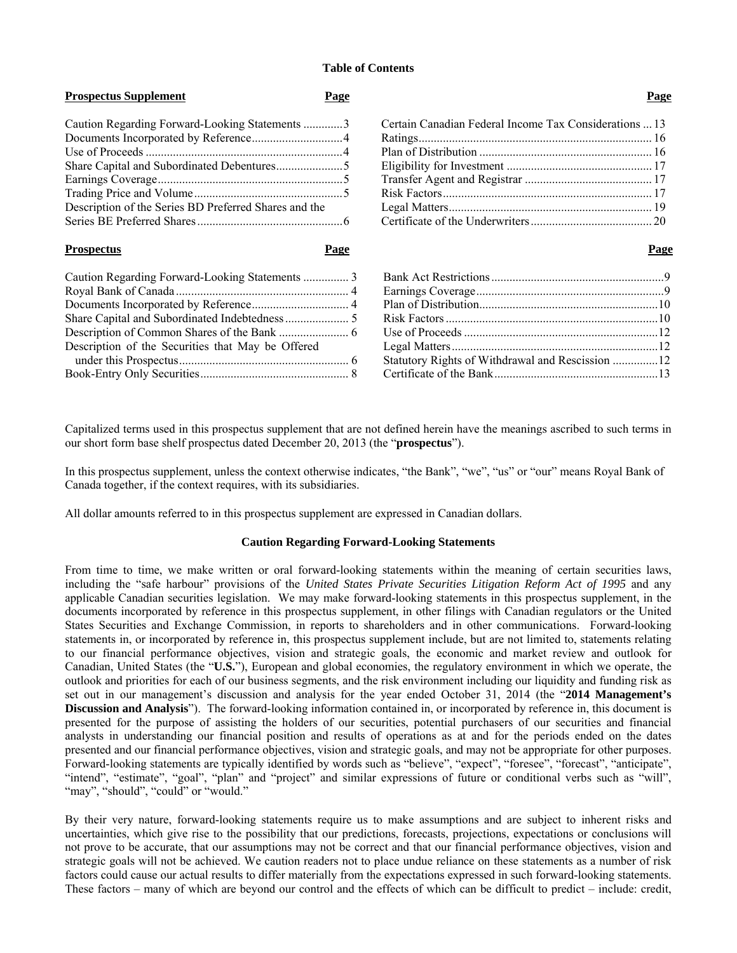# **Table of Contents**

#### **Prospectus Supplement Page Page**

| Caution Regarding Forward-Looking Statements 3        |  |
|-------------------------------------------------------|--|
|                                                       |  |
|                                                       |  |
|                                                       |  |
|                                                       |  |
|                                                       |  |
| Description of the Series BD Preferred Shares and the |  |
|                                                       |  |

#### **Prospectus Page Page**

| Description of the Securities that May be Offered |  |
|---------------------------------------------------|--|
|                                                   |  |
|                                                   |  |
|                                                   |  |

# Certain Canadian Federal Income Tax Considerations ... 13 Ratings ............................................................................. 16 Plan of Distribution ......................................................... 16 Eligibility for Investment ................................................ 17 Transfer Agent and Registrar .......................................... 17 Risk Factors ..................................................................... 17 Legal Matters ................................................................... 19 Certificate of the Underwriters ........................................ 20

| Statutory Rights of Withdrawal and Rescission 12 |  |
|--------------------------------------------------|--|
|                                                  |  |
|                                                  |  |

Capitalized terms used in this prospectus supplement that are not defined herein have the meanings ascribed to such terms in our short form base shelf prospectus dated December 20, 2013 (the "**prospectus**").

In this prospectus supplement, unless the context otherwise indicates, "the Bank", "we", "us" or "our" means Royal Bank of Canada together, if the context requires, with its subsidiaries.

All dollar amounts referred to in this prospectus supplement are expressed in Canadian dollars.

#### **Caution Regarding Forward-Looking Statements**

From time to time, we make written or oral forward-looking statements within the meaning of certain securities laws, including the "safe harbour" provisions of the *United States Private Securities Litigation Reform Act of 1995* and any applicable Canadian securities legislation. We may make forward-looking statements in this prospectus supplement, in the documents incorporated by reference in this prospectus supplement, in other filings with Canadian regulators or the United States Securities and Exchange Commission, in reports to shareholders and in other communications. Forward-looking statements in, or incorporated by reference in, this prospectus supplement include, but are not limited to, statements relating to our financial performance objectives, vision and strategic goals, the economic and market review and outlook for Canadian, United States (the "**U.S.**"), European and global economies, the regulatory environment in which we operate, the outlook and priorities for each of our business segments, and the risk environment including our liquidity and funding risk as set out in our management's discussion and analysis for the year ended October 31, 2014 (the "**2014 Management's Discussion and Analysis**"). The forward-looking information contained in, or incorporated by reference in, this document is presented for the purpose of assisting the holders of our securities, potential purchasers of our securities and financial analysts in understanding our financial position and results of operations as at and for the periods ended on the dates presented and our financial performance objectives, vision and strategic goals, and may not be appropriate for other purposes. Forward-looking statements are typically identified by words such as "believe", "expect", "foresee", "forecast", "anticipate", "intend", "estimate", "goal", "plan" and "project" and similar expressions of future or conditional verbs such as "will", "may", "should", "could" or "would."

By their very nature, forward-looking statements require us to make assumptions and are subject to inherent risks and uncertainties, which give rise to the possibility that our predictions, forecasts, projections, expectations or conclusions will not prove to be accurate, that our assumptions may not be correct and that our financial performance objectives, vision and strategic goals will not be achieved. We caution readers not to place undue reliance on these statements as a number of risk factors could cause our actual results to differ materially from the expectations expressed in such forward-looking statements. These factors – many of which are beyond our control and the effects of which can be difficult to predict – include: credit,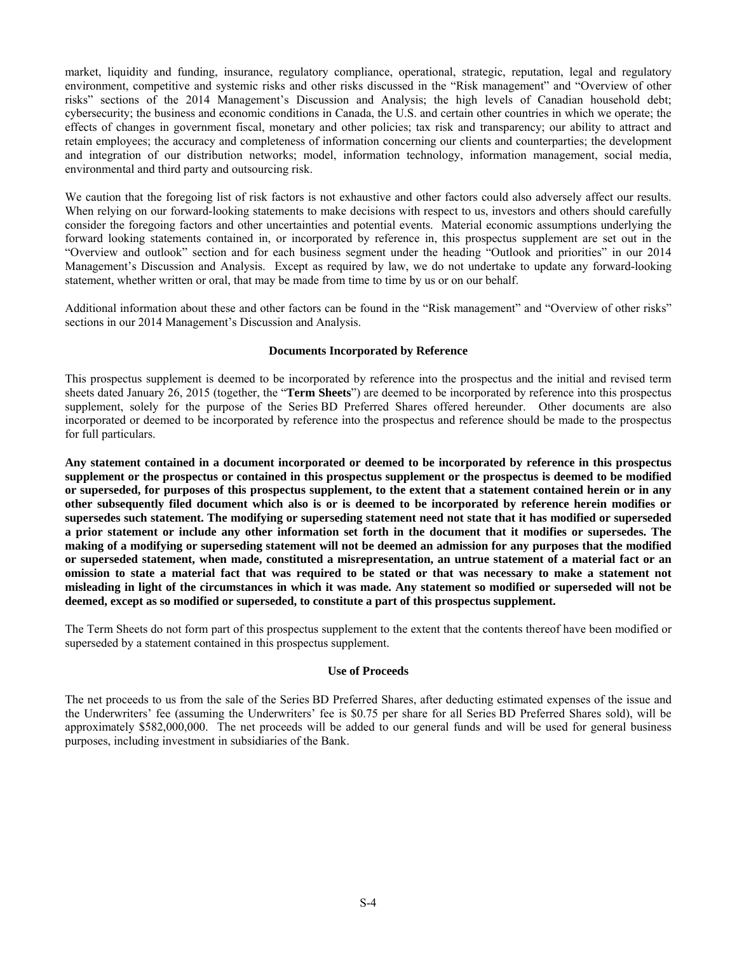market, liquidity and funding, insurance, regulatory compliance, operational, strategic, reputation, legal and regulatory environment, competitive and systemic risks and other risks discussed in the "Risk management" and "Overview of other risks" sections of the 2014 Management's Discussion and Analysis; the high levels of Canadian household debt; cybersecurity; the business and economic conditions in Canada, the U.S. and certain other countries in which we operate; the effects of changes in government fiscal, monetary and other policies; tax risk and transparency; our ability to attract and retain employees; the accuracy and completeness of information concerning our clients and counterparties; the development and integration of our distribution networks; model, information technology, information management, social media, environmental and third party and outsourcing risk.

We caution that the foregoing list of risk factors is not exhaustive and other factors could also adversely affect our results. When relying on our forward-looking statements to make decisions with respect to us, investors and others should carefully consider the foregoing factors and other uncertainties and potential events. Material economic assumptions underlying the forward looking statements contained in, or incorporated by reference in, this prospectus supplement are set out in the "Overview and outlook" section and for each business segment under the heading "Outlook and priorities" in our 2014 Management's Discussion and Analysis. Except as required by law, we do not undertake to update any forward-looking statement, whether written or oral, that may be made from time to time by us or on our behalf.

Additional information about these and other factors can be found in the "Risk management" and "Overview of other risks" sections in our 2014 Management's Discussion and Analysis.

# **Documents Incorporated by Reference**

This prospectus supplement is deemed to be incorporated by reference into the prospectus and the initial and revised term sheets dated January 26, 2015 (together, the "**Term Sheets**") are deemed to be incorporated by reference into this prospectus supplement, solely for the purpose of the Series BD Preferred Shares offered hereunder. Other documents are also incorporated or deemed to be incorporated by reference into the prospectus and reference should be made to the prospectus for full particulars.

**Any statement contained in a document incorporated or deemed to be incorporated by reference in this prospectus supplement or the prospectus or contained in this prospectus supplement or the prospectus is deemed to be modified or superseded, for purposes of this prospectus supplement, to the extent that a statement contained herein or in any other subsequently filed document which also is or is deemed to be incorporated by reference herein modifies or supersedes such statement. The modifying or superseding statement need not state that it has modified or superseded a prior statement or include any other information set forth in the document that it modifies or supersedes. The making of a modifying or superseding statement will not be deemed an admission for any purposes that the modified or superseded statement, when made, constituted a misrepresentation, an untrue statement of a material fact or an omission to state a material fact that was required to be stated or that was necessary to make a statement not misleading in light of the circumstances in which it was made. Any statement so modified or superseded will not be deemed, except as so modified or superseded, to constitute a part of this prospectus supplement.** 

The Term Sheets do not form part of this prospectus supplement to the extent that the contents thereof have been modified or superseded by a statement contained in this prospectus supplement.

#### **Use of Proceeds**

The net proceeds to us from the sale of the Series BD Preferred Shares, after deducting estimated expenses of the issue and the Underwriters' fee (assuming the Underwriters' fee is \$0.75 per share for all Series BD Preferred Shares sold), will be approximately \$582,000,000.The net proceeds will be added to our general funds and will be used for general business purposes, including investment in subsidiaries of the Bank.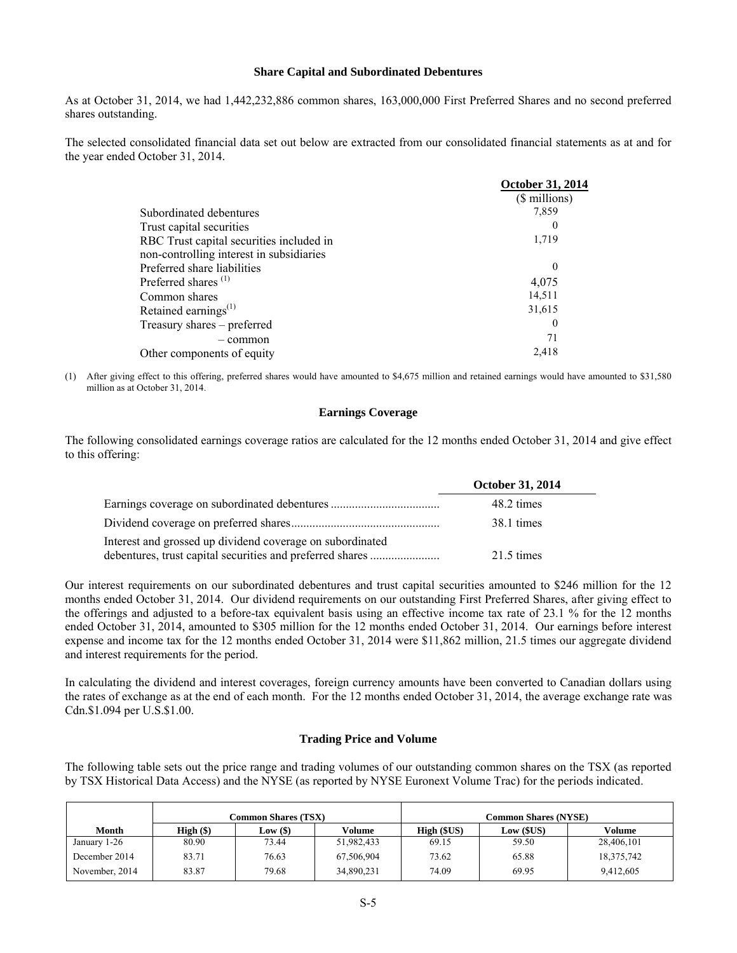### **Share Capital and Subordinated Debentures**

As at October 31, 2014, we had 1,442,232,886 common shares, 163,000,000 First Preferred Shares and no second preferred shares outstanding.

The selected consolidated financial data set out below are extracted from our consolidated financial statements as at and for the year ended October 31, 2014.

|                                          | <b>October 31, 2014</b> |
|------------------------------------------|-------------------------|
|                                          | (\$ millions)           |
| Subordinated debentures                  | 7,859                   |
| Trust capital securities                 | $\theta$                |
| RBC Trust capital securities included in | 1,719                   |
| non-controlling interest in subsidiaries |                         |
| Preferred share liabilities              | $\theta$                |
| Preferred shares <sup>(1)</sup>          | 4,075                   |
| Common shares                            | 14,511                  |
| Retained earnings $^{(1)}$               | 31,615                  |
| Treasury shares – preferred              | $\theta$                |
| - common                                 | 71                      |
| Other components of equity               | 2,418                   |
|                                          |                         |

(1) After giving effect to this offering, preferred shares would have amounted to \$4,675 million and retained earnings would have amounted to \$31,580 million as at October 31, 2014.

#### **Earnings Coverage**

The following consolidated earnings coverage ratios are calculated for the 12 months ended October 31, 2014 and give effect to this offering:

|                                                                                                                        | <b>October 31, 2014</b> |
|------------------------------------------------------------------------------------------------------------------------|-------------------------|
|                                                                                                                        | 48.2 times              |
|                                                                                                                        | 38.1 times              |
| Interest and grossed up dividend coverage on subordinated<br>debentures, trust capital securities and preferred shares | 21.5 times              |

Our interest requirements on our subordinated debentures and trust capital securities amounted to \$246 million for the 12 months ended October 31, 2014. Our dividend requirements on our outstanding First Preferred Shares, after giving effect to the offerings and adjusted to a before-tax equivalent basis using an effective income tax rate of 23.1 % for the 12 months ended October 31, 2014, amounted to \$305 million for the 12 months ended October 31, 2014. Our earnings before interest expense and income tax for the 12 months ended October 31, 2014 were \$11,862 million, 21.5 times our aggregate dividend and interest requirements for the period.

In calculating the dividend and interest coverages, foreign currency amounts have been converted to Canadian dollars using the rates of exchange as at the end of each month. For the 12 months ended October 31, 2014, the average exchange rate was Cdn.\$1.094 per U.S.\$1.00.

#### **Trading Price and Volume**

The following table sets out the price range and trading volumes of our outstanding common shares on the TSX (as reported by TSX Historical Data Access) and the NYSE (as reported by NYSE Euronext Volume Trac) for the periods indicated.

|                | <b>Common Shares (TSX)</b> |            |            | <b>Common Shares (NYSE)</b> |                 |            |
|----------------|----------------------------|------------|------------|-----------------------------|-----------------|------------|
| Month          | High $(\$)$                | Low $(\$)$ | Volume     | High(SUS)                   | $Low$ ( $SUS$ ) | Volume     |
| January 1-26   | 80.90                      | 73.44      | 51,982,433 | 69.15                       | 59.50           | 28,406,101 |
| December 2014  | 83.71                      | 76.63      | 67,506,904 | 73.62                       | 65.88           | 18,375,742 |
| November, 2014 | 83.87                      | 79.68      | 34,890,231 | 74.09                       | 69.95           | 9.412.605  |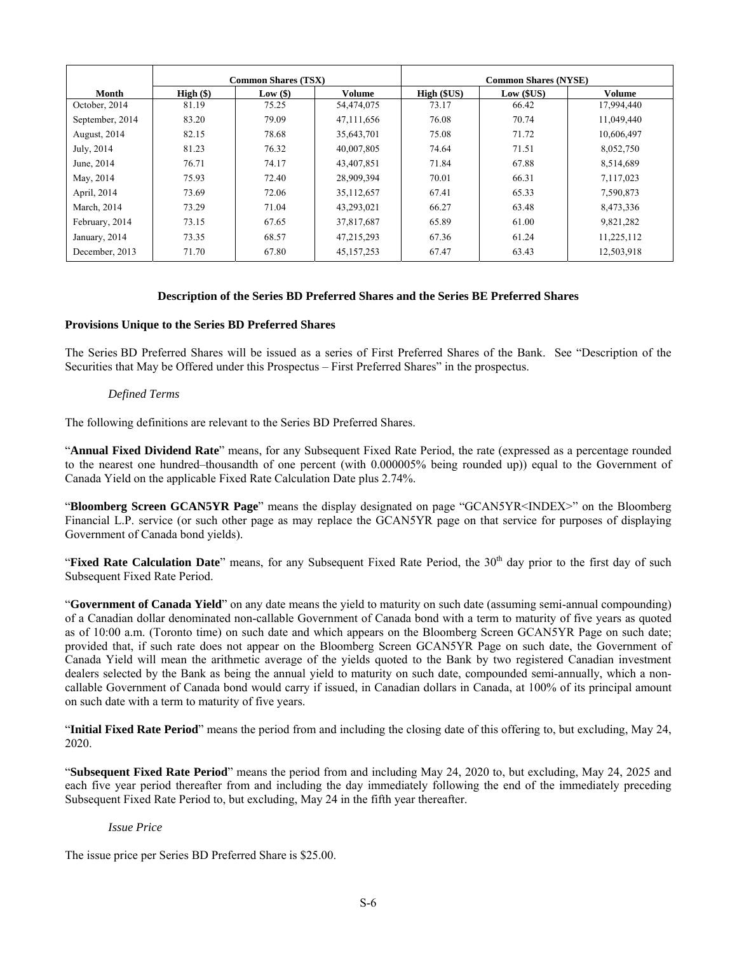|                 | <b>Common Shares (TSX)</b> |               | <b>Common Shares (NYSE)</b> |            |                 |            |
|-----------------|----------------------------|---------------|-----------------------------|------------|-----------------|------------|
| Month           | $High (\$)$                | $Low($ \$ $)$ | Volume                      | High (SUS) | $Low$ ( $SUS$ ) | Volume     |
| October, 2014   | 81.19                      | 75.25         | 54,474,075                  | 73.17      | 66.42           | 17,994,440 |
| September, 2014 | 83.20                      | 79.09         | 47,111,656                  | 76.08      | 70.74           | 11,049,440 |
| August, 2014    | 82.15                      | 78.68         | 35,643,701                  | 75.08      | 71.72           | 10,606,497 |
| July, 2014      | 81.23                      | 76.32         | 40,007,805                  | 74.64      | 71.51           | 8,052,750  |
| June, 2014      | 76.71                      | 74.17         | 43,407,851                  | 71.84      | 67.88           | 8,514,689  |
| May, 2014       | 75.93                      | 72.40         | 28,909,394                  | 70.01      | 66.31           | 7,117,023  |
| April, 2014     | 73.69                      | 72.06         | 35,112,657                  | 67.41      | 65.33           | 7,590,873  |
| March, 2014     | 73.29                      | 71.04         | 43,293,021                  | 66.27      | 63.48           | 8,473,336  |
| February, 2014  | 73.15                      | 67.65         | 37,817,687                  | 65.89      | 61.00           | 9,821,282  |
| January, 2014   | 73.35                      | 68.57         | 47,215,293                  | 67.36      | 61.24           | 11,225,112 |
| December, 2013  | 71.70                      | 67.80         | 45,157,253                  | 67.47      | 63.43           | 12,503,918 |

# **Description of the Series BD Preferred Shares and the Series BE Preferred Shares**

# **Provisions Unique to the Series BD Preferred Shares**

The Series BD Preferred Shares will be issued as a series of First Preferred Shares of the Bank. See "Description of the Securities that May be Offered under this Prospectus – First Preferred Shares" in the prospectus.

#### *Defined Terms*

The following definitions are relevant to the Series BD Preferred Shares.

"**Annual Fixed Dividend Rate**" means, for any Subsequent Fixed Rate Period, the rate (expressed as a percentage rounded to the nearest one hundred–thousandth of one percent (with 0.000005% being rounded up)) equal to the Government of Canada Yield on the applicable Fixed Rate Calculation Date plus 2.74%.

"**Bloomberg Screen GCAN5YR Page**" means the display designated on page "GCAN5YR<INDEX>" on the Bloomberg Financial L.P. service (or such other page as may replace the GCAN5YR page on that service for purposes of displaying Government of Canada bond yields).

"Fixed Rate Calculation Date" means, for any Subsequent Fixed Rate Period, the 30<sup>th</sup> day prior to the first day of such Subsequent Fixed Rate Period.

"**Government of Canada Yield**" on any date means the yield to maturity on such date (assuming semi-annual compounding) of a Canadian dollar denominated non-callable Government of Canada bond with a term to maturity of five years as quoted as of 10:00 a.m. (Toronto time) on such date and which appears on the Bloomberg Screen GCAN5YR Page on such date; provided that, if such rate does not appear on the Bloomberg Screen GCAN5YR Page on such date, the Government of Canada Yield will mean the arithmetic average of the yields quoted to the Bank by two registered Canadian investment dealers selected by the Bank as being the annual yield to maturity on such date, compounded semi-annually, which a noncallable Government of Canada bond would carry if issued, in Canadian dollars in Canada, at 100% of its principal amount on such date with a term to maturity of five years.

"**Initial Fixed Rate Period**" means the period from and including the closing date of this offering to, but excluding, May 24, 2020.

"**Subsequent Fixed Rate Period**" means the period from and including May 24, 2020 to, but excluding, May 24, 2025 and each five year period thereafter from and including the day immediately following the end of the immediately preceding Subsequent Fixed Rate Period to, but excluding, May 24 in the fifth year thereafter.

#### *Issue Price*

The issue price per Series BD Preferred Share is \$25.00.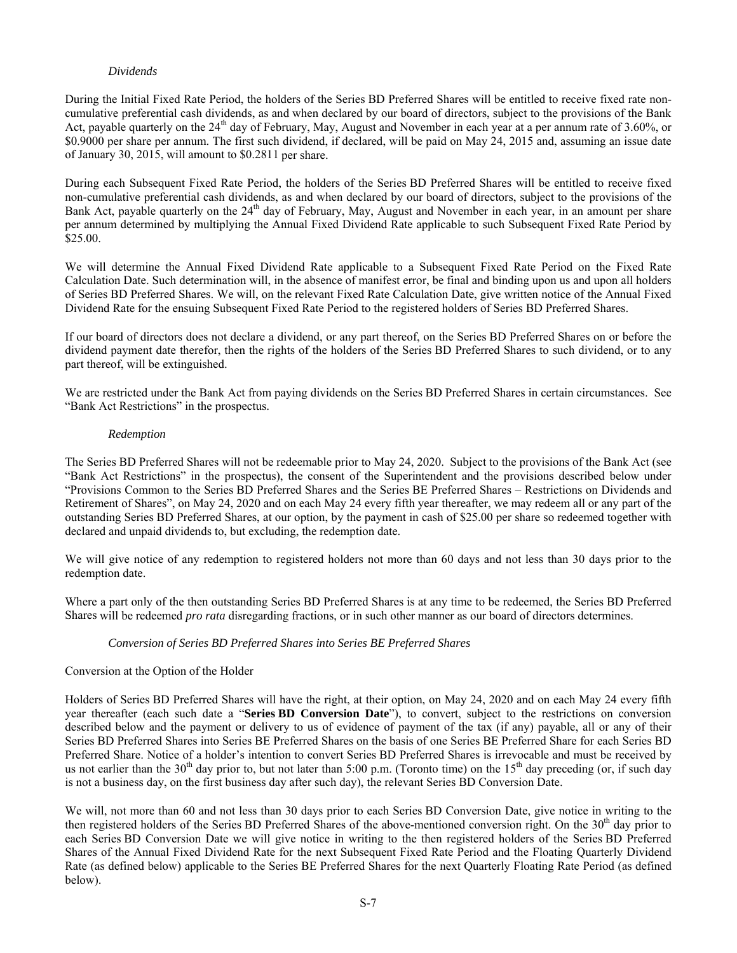# *Dividends*

During the Initial Fixed Rate Period, the holders of the Series BD Preferred Shares will be entitled to receive fixed rate noncumulative preferential cash dividends, as and when declared by our board of directors, subject to the provisions of the Bank Act, payable quarterly on the 24<sup>th</sup> day of February, May, August and November in each year at a per annum rate of 3.60%, or \$0.9000 per share per annum. The first such dividend, if declared, will be paid on May 24, 2015 and, assuming an issue date of January 30, 2015, will amount to \$0.2811 per share.

During each Subsequent Fixed Rate Period, the holders of the Series BD Preferred Shares will be entitled to receive fixed non-cumulative preferential cash dividends, as and when declared by our board of directors, subject to the provisions of the Bank Act, payable quarterly on the 24<sup>th</sup> day of February, May, August and November in each year, in an amount per share per annum determined by multiplying the Annual Fixed Dividend Rate applicable to such Subsequent Fixed Rate Period by \$25.00.

We will determine the Annual Fixed Dividend Rate applicable to a Subsequent Fixed Rate Period on the Fixed Rate Calculation Date. Such determination will, in the absence of manifest error, be final and binding upon us and upon all holders of Series BD Preferred Shares. We will, on the relevant Fixed Rate Calculation Date, give written notice of the Annual Fixed Dividend Rate for the ensuing Subsequent Fixed Rate Period to the registered holders of Series BD Preferred Shares.

If our board of directors does not declare a dividend, or any part thereof, on the Series BD Preferred Shares on or before the dividend payment date therefor, then the rights of the holders of the Series BD Preferred Shares to such dividend, or to any part thereof, will be extinguished.

We are restricted under the Bank Act from paying dividends on the Series BD Preferred Shares in certain circumstances. See "Bank Act Restrictions" in the prospectus.

# *Redemption*

The Series BD Preferred Shares will not be redeemable prior to May 24, 2020. Subject to the provisions of the Bank Act (see "Bank Act Restrictions" in the prospectus), the consent of the Superintendent and the provisions described below under "Provisions Common to the Series BD Preferred Shares and the Series BE Preferred Shares – Restrictions on Dividends and Retirement of Shares", on May 24, 2020 and on each May 24 every fifth year thereafter, we may redeem all or any part of the outstanding Series BD Preferred Shares, at our option, by the payment in cash of \$25.00 per share so redeemed together with declared and unpaid dividends to, but excluding, the redemption date.

We will give notice of any redemption to registered holders not more than 60 days and not less than 30 days prior to the redemption date.

Where a part only of the then outstanding Series BD Preferred Shares is at any time to be redeemed, the Series BD Preferred Shares will be redeemed *pro rata* disregarding fractions, or in such other manner as our board of directors determines.

# *Conversion of Series BD Preferred Shares into Series BE Preferred Shares*

# Conversion at the Option of the Holder

Holders of Series BD Preferred Shares will have the right, at their option, on May 24, 2020 and on each May 24 every fifth year thereafter (each such date a "**Series BD Conversion Date**"), to convert, subject to the restrictions on conversion described below and the payment or delivery to us of evidence of payment of the tax (if any) payable, all or any of their Series BD Preferred Shares into Series BE Preferred Shares on the basis of one Series BE Preferred Share for each Series BD Preferred Share. Notice of a holder's intention to convert Series BD Preferred Shares is irrevocable and must be received by us not earlier than the 30<sup>th</sup> day prior to, but not later than 5:00 p.m. (Toronto time) on the 15<sup>th</sup> day preceding (or, if such day is not a business day, on the first business day after such day), the relevant Series BD Conversion Date.

We will, not more than 60 and not less than 30 days prior to each Series BD Conversion Date, give notice in writing to the then registered holders of the Series BD Preferred Shares of the above-mentioned conversion right. On the 30<sup>th</sup> day prior to each Series BD Conversion Date we will give notice in writing to the then registered holders of the Series BD Preferred Shares of the Annual Fixed Dividend Rate for the next Subsequent Fixed Rate Period and the Floating Quarterly Dividend Rate (as defined below) applicable to the Series BE Preferred Shares for the next Quarterly Floating Rate Period (as defined below).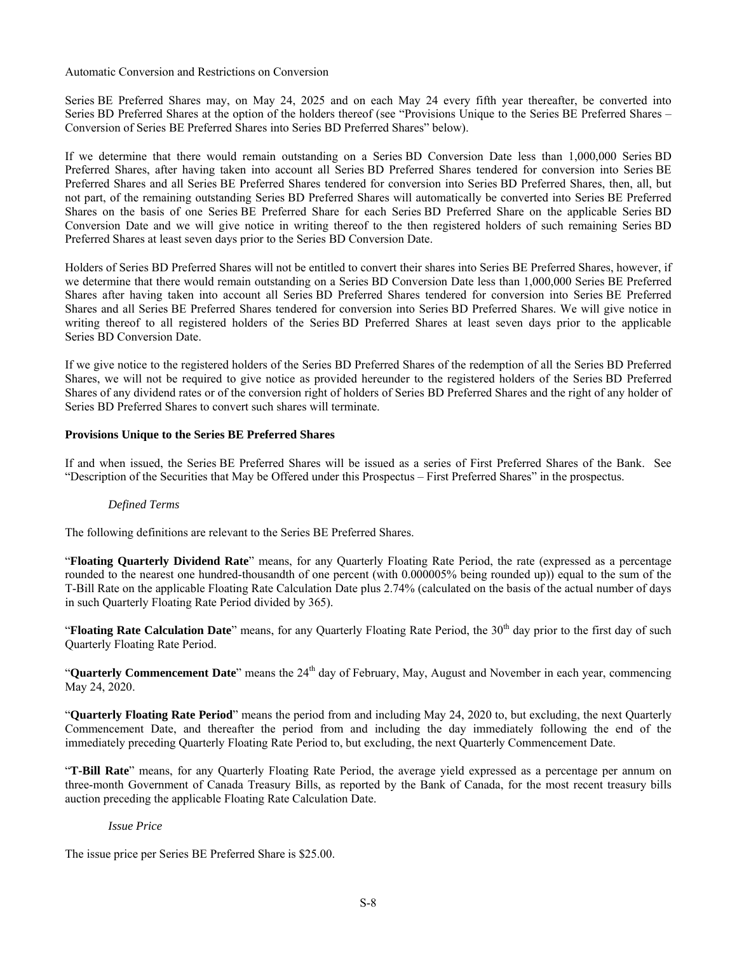Automatic Conversion and Restrictions on Conversion

Series BE Preferred Shares may, on May 24, 2025 and on each May 24 every fifth year thereafter, be converted into Series BD Preferred Shares at the option of the holders thereof (see "Provisions Unique to the Series BE Preferred Shares – Conversion of Series BE Preferred Shares into Series BD Preferred Shares" below).

If we determine that there would remain outstanding on a Series BD Conversion Date less than 1,000,000 Series BD Preferred Shares, after having taken into account all Series BD Preferred Shares tendered for conversion into Series BE Preferred Shares and all Series BE Preferred Shares tendered for conversion into Series BD Preferred Shares, then, all, but not part, of the remaining outstanding Series BD Preferred Shares will automatically be converted into Series BE Preferred Shares on the basis of one Series BE Preferred Share for each Series BD Preferred Share on the applicable Series BD Conversion Date and we will give notice in writing thereof to the then registered holders of such remaining Series BD Preferred Shares at least seven days prior to the Series BD Conversion Date.

Holders of Series BD Preferred Shares will not be entitled to convert their shares into Series BE Preferred Shares, however, if we determine that there would remain outstanding on a Series BD Conversion Date less than 1,000,000 Series BE Preferred Shares after having taken into account all Series BD Preferred Shares tendered for conversion into Series BE Preferred Shares and all Series BE Preferred Shares tendered for conversion into Series BD Preferred Shares. We will give notice in writing thereof to all registered holders of the Series BD Preferred Shares at least seven days prior to the applicable Series BD Conversion Date.

If we give notice to the registered holders of the Series BD Preferred Shares of the redemption of all the Series BD Preferred Shares, we will not be required to give notice as provided hereunder to the registered holders of the Series BD Preferred Shares of any dividend rates or of the conversion right of holders of Series BD Preferred Shares and the right of any holder of Series BD Preferred Shares to convert such shares will terminate.

# **Provisions Unique to the Series BE Preferred Shares**

If and when issued, the Series BE Preferred Shares will be issued as a series of First Preferred Shares of the Bank. See "Description of the Securities that May be Offered under this Prospectus – First Preferred Shares" in the prospectus.

# *Defined Terms*

The following definitions are relevant to the Series BE Preferred Shares.

"**Floating Quarterly Dividend Rate**" means, for any Quarterly Floating Rate Period, the rate (expressed as a percentage rounded to the nearest one hundred-thousandth of one percent (with 0.000005% being rounded up)) equal to the sum of the T-Bill Rate on the applicable Floating Rate Calculation Date plus 2.74% (calculated on the basis of the actual number of days in such Quarterly Floating Rate Period divided by 365).

"**Floating Rate Calculation Date**" means, for any Quarterly Floating Rate Period, the 30<sup>th</sup> day prior to the first day of such Quarterly Floating Rate Period.

"**Quarterly Commencement Date**" means the 24<sup>th</sup> day of February, May, August and November in each year, commencing May 24, 2020.

"**Quarterly Floating Rate Period**" means the period from and including May 24, 2020 to, but excluding, the next Quarterly Commencement Date, and thereafter the period from and including the day immediately following the end of the immediately preceding Quarterly Floating Rate Period to, but excluding, the next Quarterly Commencement Date.

"**T-Bill Rate**" means, for any Quarterly Floating Rate Period, the average yield expressed as a percentage per annum on three-month Government of Canada Treasury Bills, as reported by the Bank of Canada, for the most recent treasury bills auction preceding the applicable Floating Rate Calculation Date.

# *Issue Price*

The issue price per Series BE Preferred Share is \$25.00.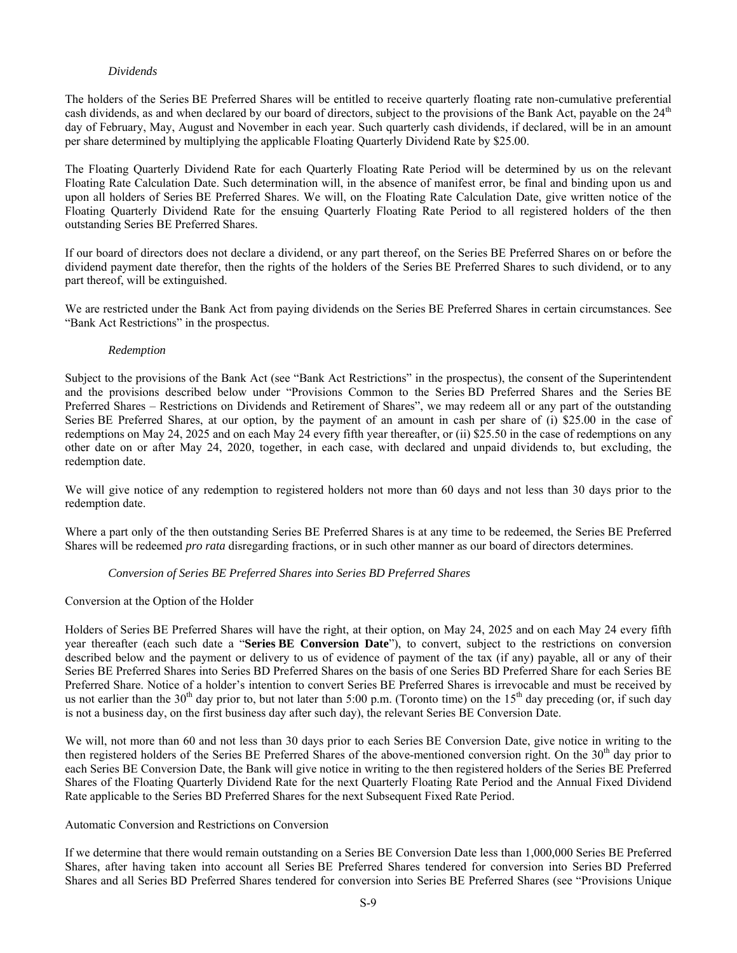# *Dividends*

The holders of the Series BE Preferred Shares will be entitled to receive quarterly floating rate non-cumulative preferential cash dividends, as and when declared by our board of directors, subject to the provisions of the Bank Act, payable on the 24<sup>th</sup> day of February, May, August and November in each year. Such quarterly cash dividends, if declared, will be in an amount per share determined by multiplying the applicable Floating Quarterly Dividend Rate by \$25.00.

The Floating Quarterly Dividend Rate for each Quarterly Floating Rate Period will be determined by us on the relevant Floating Rate Calculation Date. Such determination will, in the absence of manifest error, be final and binding upon us and upon all holders of Series BE Preferred Shares. We will, on the Floating Rate Calculation Date, give written notice of the Floating Quarterly Dividend Rate for the ensuing Quarterly Floating Rate Period to all registered holders of the then outstanding Series BE Preferred Shares.

If our board of directors does not declare a dividend, or any part thereof, on the Series BE Preferred Shares on or before the dividend payment date therefor, then the rights of the holders of the Series BE Preferred Shares to such dividend, or to any part thereof, will be extinguished.

We are restricted under the Bank Act from paying dividends on the Series BE Preferred Shares in certain circumstances. See "Bank Act Restrictions" in the prospectus.

#### *Redemption*

Subject to the provisions of the Bank Act (see "Bank Act Restrictions" in the prospectus), the consent of the Superintendent and the provisions described below under "Provisions Common to the Series BD Preferred Shares and the Series BE Preferred Shares – Restrictions on Dividends and Retirement of Shares", we may redeem all or any part of the outstanding Series BE Preferred Shares, at our option, by the payment of an amount in cash per share of (i) \$25.00 in the case of redemptions on May 24, 2025 and on each May 24 every fifth year thereafter, or (ii) \$25.50 in the case of redemptions on any other date on or after May 24, 2020, together, in each case, with declared and unpaid dividends to, but excluding, the redemption date.

We will give notice of any redemption to registered holders not more than 60 days and not less than 30 days prior to the redemption date.

Where a part only of the then outstanding Series BE Preferred Shares is at any time to be redeemed, the Series BE Preferred Shares will be redeemed *pro rata* disregarding fractions, or in such other manner as our board of directors determines.

#### *Conversion of Series BE Preferred Shares into Series BD Preferred Shares*

#### Conversion at the Option of the Holder

Holders of Series BE Preferred Shares will have the right, at their option, on May 24, 2025 and on each May 24 every fifth year thereafter (each such date a "**Series BE Conversion Date**"), to convert, subject to the restrictions on conversion described below and the payment or delivery to us of evidence of payment of the tax (if any) payable, all or any of their Series BE Preferred Shares into Series BD Preferred Shares on the basis of one Series BD Preferred Share for each Series BE Preferred Share. Notice of a holder's intention to convert Series BE Preferred Shares is irrevocable and must be received by us not earlier than the  $30<sup>th</sup>$  day prior to, but not later than 5:00 p.m. (Toronto time) on the  $15<sup>th</sup>$  day preceding (or, if such day is not a business day, on the first business day after such day), the relevant Series BE Conversion Date.

We will, not more than 60 and not less than 30 days prior to each Series BE Conversion Date, give notice in writing to the then registered holders of the Series BE Preferred Shares of the above-mentioned conversion right. On the 30<sup>th</sup> day prior to each Series BE Conversion Date, the Bank will give notice in writing to the then registered holders of the Series BE Preferred Shares of the Floating Quarterly Dividend Rate for the next Quarterly Floating Rate Period and the Annual Fixed Dividend Rate applicable to the Series BD Preferred Shares for the next Subsequent Fixed Rate Period.

#### Automatic Conversion and Restrictions on Conversion

If we determine that there would remain outstanding on a Series BE Conversion Date less than 1,000,000 Series BE Preferred Shares, after having taken into account all Series BE Preferred Shares tendered for conversion into Series BD Preferred Shares and all Series BD Preferred Shares tendered for conversion into Series BE Preferred Shares (see "Provisions Unique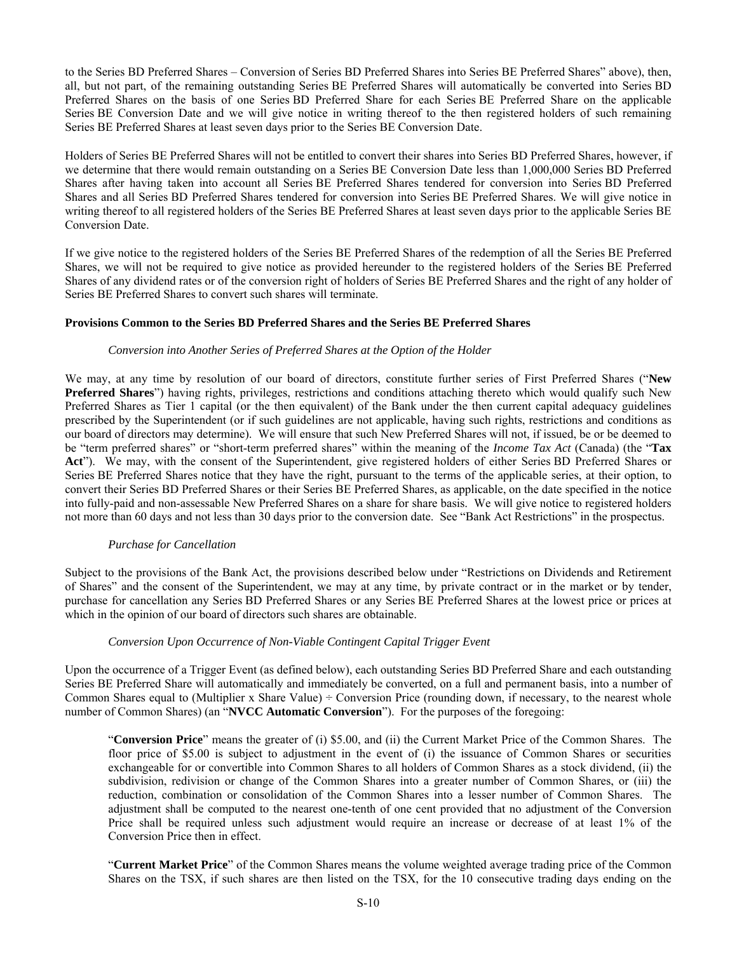to the Series BD Preferred Shares – Conversion of Series BD Preferred Shares into Series BE Preferred Shares" above), then, all, but not part, of the remaining outstanding Series BE Preferred Shares will automatically be converted into Series BD Preferred Shares on the basis of one Series BD Preferred Share for each Series BE Preferred Share on the applicable Series BE Conversion Date and we will give notice in writing thereof to the then registered holders of such remaining Series BE Preferred Shares at least seven days prior to the Series BE Conversion Date.

Holders of Series BE Preferred Shares will not be entitled to convert their shares into Series BD Preferred Shares, however, if we determine that there would remain outstanding on a Series BE Conversion Date less than 1,000,000 Series BD Preferred Shares after having taken into account all Series BE Preferred Shares tendered for conversion into Series BD Preferred Shares and all Series BD Preferred Shares tendered for conversion into Series BE Preferred Shares. We will give notice in writing thereof to all registered holders of the Series BE Preferred Shares at least seven days prior to the applicable Series BE Conversion Date.

If we give notice to the registered holders of the Series BE Preferred Shares of the redemption of all the Series BE Preferred Shares, we will not be required to give notice as provided hereunder to the registered holders of the Series BE Preferred Shares of any dividend rates or of the conversion right of holders of Series BE Preferred Shares and the right of any holder of Series BE Preferred Shares to convert such shares will terminate.

# **Provisions Common to the Series BD Preferred Shares and the Series BE Preferred Shares**

#### *Conversion into Another Series of Preferred Shares at the Option of the Holder*

We may, at any time by resolution of our board of directors, constitute further series of First Preferred Shares ("**New Preferred Shares**") having rights, privileges, restrictions and conditions attaching thereto which would qualify such New Preferred Shares as Tier 1 capital (or the then equivalent) of the Bank under the then current capital adequacy guidelines prescribed by the Superintendent (or if such guidelines are not applicable, having such rights, restrictions and conditions as our board of directors may determine). We will ensure that such New Preferred Shares will not, if issued, be or be deemed to be "term preferred shares" or "short-term preferred shares" within the meaning of the *Income Tax Act* (Canada) (the "**Tax Act**"). We may, with the consent of the Superintendent, give registered holders of either Series BD Preferred Shares or Series BE Preferred Shares notice that they have the right, pursuant to the terms of the applicable series, at their option, to convert their Series BD Preferred Shares or their Series BE Preferred Shares, as applicable, on the date specified in the notice into fully-paid and non-assessable New Preferred Shares on a share for share basis. We will give notice to registered holders not more than 60 days and not less than 30 days prior to the conversion date. See "Bank Act Restrictions" in the prospectus.

#### *Purchase for Cancellation*

Subject to the provisions of the Bank Act, the provisions described below under "Restrictions on Dividends and Retirement of Shares" and the consent of the Superintendent, we may at any time, by private contract or in the market or by tender, purchase for cancellation any Series BD Preferred Shares or any Series BE Preferred Shares at the lowest price or prices at which in the opinion of our board of directors such shares are obtainable.

# *Conversion Upon Occurrence of Non-Viable Contingent Capital Trigger Event*

Upon the occurrence of a Trigger Event (as defined below), each outstanding Series BD Preferred Share and each outstanding Series BE Preferred Share will automatically and immediately be converted, on a full and permanent basis, into a number of Common Shares equal to (Multiplier x Share Value)  $\div$  Conversion Price (rounding down, if necessary, to the nearest whole number of Common Shares) (an "**NVCC Automatic Conversion**"). For the purposes of the foregoing:

"**Conversion Price**" means the greater of (i) \$5.00, and (ii) the Current Market Price of the Common Shares. The floor price of \$5.00 is subject to adjustment in the event of (i) the issuance of Common Shares or securities exchangeable for or convertible into Common Shares to all holders of Common Shares as a stock dividend, (ii) the subdivision, redivision or change of the Common Shares into a greater number of Common Shares, or (iii) the reduction, combination or consolidation of the Common Shares into a lesser number of Common Shares. The adjustment shall be computed to the nearest one-tenth of one cent provided that no adjustment of the Conversion Price shall be required unless such adjustment would require an increase or decrease of at least 1% of the Conversion Price then in effect.

"**Current Market Price**" of the Common Shares means the volume weighted average trading price of the Common Shares on the TSX, if such shares are then listed on the TSX, for the 10 consecutive trading days ending on the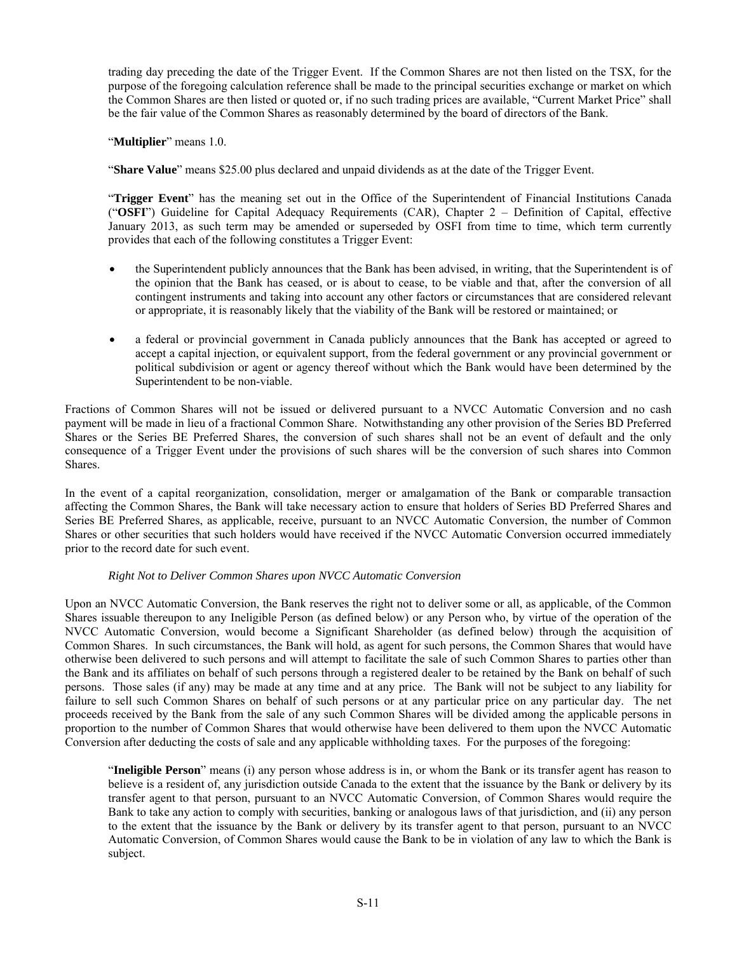trading day preceding the date of the Trigger Event. If the Common Shares are not then listed on the TSX, for the purpose of the foregoing calculation reference shall be made to the principal securities exchange or market on which the Common Shares are then listed or quoted or, if no such trading prices are available, "Current Market Price" shall be the fair value of the Common Shares as reasonably determined by the board of directors of the Bank.

"**Multiplier**" means 1.0.

"**Share Value**" means \$25.00 plus declared and unpaid dividends as at the date of the Trigger Event.

"**Trigger Event**" has the meaning set out in the Office of the Superintendent of Financial Institutions Canada ("**OSFI**") Guideline for Capital Adequacy Requirements (CAR), Chapter 2 ‒ Definition of Capital, effective January 2013, as such term may be amended or superseded by OSFI from time to time, which term currently provides that each of the following constitutes a Trigger Event:

- the Superintendent publicly announces that the Bank has been advised, in writing, that the Superintendent is of the opinion that the Bank has ceased, or is about to cease, to be viable and that, after the conversion of all contingent instruments and taking into account any other factors or circumstances that are considered relevant or appropriate, it is reasonably likely that the viability of the Bank will be restored or maintained; or
- a federal or provincial government in Canada publicly announces that the Bank has accepted or agreed to accept a capital injection, or equivalent support, from the federal government or any provincial government or political subdivision or agent or agency thereof without which the Bank would have been determined by the Superintendent to be non-viable.

Fractions of Common Shares will not be issued or delivered pursuant to a NVCC Automatic Conversion and no cash payment will be made in lieu of a fractional Common Share. Notwithstanding any other provision of the Series BD Preferred Shares or the Series BE Preferred Shares, the conversion of such shares shall not be an event of default and the only consequence of a Trigger Event under the provisions of such shares will be the conversion of such shares into Common Shares.

In the event of a capital reorganization, consolidation, merger or amalgamation of the Bank or comparable transaction affecting the Common Shares, the Bank will take necessary action to ensure that holders of Series BD Preferred Shares and Series BE Preferred Shares, as applicable, receive, pursuant to an NVCC Automatic Conversion, the number of Common Shares or other securities that such holders would have received if the NVCC Automatic Conversion occurred immediately prior to the record date for such event.

# *Right Not to Deliver Common Shares upon NVCC Automatic Conversion*

Upon an NVCC Automatic Conversion, the Bank reserves the right not to deliver some or all, as applicable, of the Common Shares issuable thereupon to any Ineligible Person (as defined below) or any Person who, by virtue of the operation of the NVCC Automatic Conversion, would become a Significant Shareholder (as defined below) through the acquisition of Common Shares. In such circumstances, the Bank will hold, as agent for such persons, the Common Shares that would have otherwise been delivered to such persons and will attempt to facilitate the sale of such Common Shares to parties other than the Bank and its affiliates on behalf of such persons through a registered dealer to be retained by the Bank on behalf of such persons. Those sales (if any) may be made at any time and at any price. The Bank will not be subject to any liability for failure to sell such Common Shares on behalf of such persons or at any particular price on any particular day. The net proceeds received by the Bank from the sale of any such Common Shares will be divided among the applicable persons in proportion to the number of Common Shares that would otherwise have been delivered to them upon the NVCC Automatic Conversion after deducting the costs of sale and any applicable withholding taxes. For the purposes of the foregoing:

"**Ineligible Person**" means (i) any person whose address is in, or whom the Bank or its transfer agent has reason to believe is a resident of, any jurisdiction outside Canada to the extent that the issuance by the Bank or delivery by its transfer agent to that person, pursuant to an NVCC Automatic Conversion, of Common Shares would require the Bank to take any action to comply with securities, banking or analogous laws of that jurisdiction, and (ii) any person to the extent that the issuance by the Bank or delivery by its transfer agent to that person, pursuant to an NVCC Automatic Conversion, of Common Shares would cause the Bank to be in violation of any law to which the Bank is subject.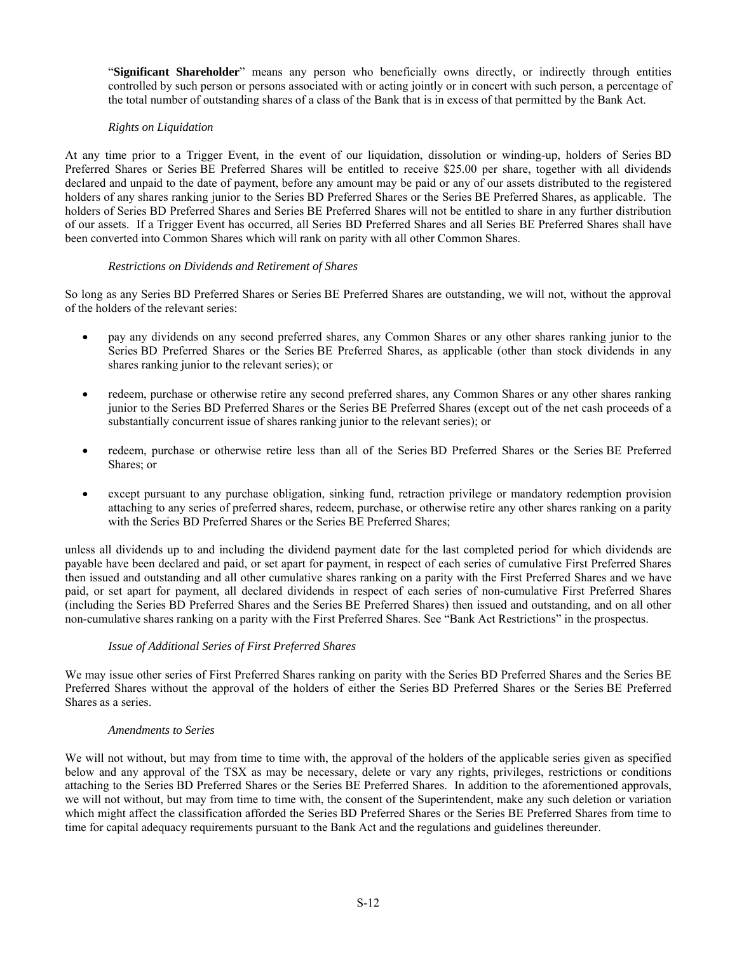"**Significant Shareholder**" means any person who beneficially owns directly, or indirectly through entities controlled by such person or persons associated with or acting jointly or in concert with such person, a percentage of the total number of outstanding shares of a class of the Bank that is in excess of that permitted by the Bank Act.

# *Rights on Liquidation*

At any time prior to a Trigger Event, in the event of our liquidation, dissolution or winding-up, holders of Series BD Preferred Shares or Series BE Preferred Shares will be entitled to receive \$25.00 per share, together with all dividends declared and unpaid to the date of payment, before any amount may be paid or any of our assets distributed to the registered holders of any shares ranking junior to the Series BD Preferred Shares or the Series BE Preferred Shares, as applicable. The holders of Series BD Preferred Shares and Series BE Preferred Shares will not be entitled to share in any further distribution of our assets. If a Trigger Event has occurred, all Series BD Preferred Shares and all Series BE Preferred Shares shall have been converted into Common Shares which will rank on parity with all other Common Shares.

# *Restrictions on Dividends and Retirement of Shares*

So long as any Series BD Preferred Shares or Series BE Preferred Shares are outstanding, we will not, without the approval of the holders of the relevant series:

- pay any dividends on any second preferred shares, any Common Shares or any other shares ranking junior to the Series BD Preferred Shares or the Series BE Preferred Shares, as applicable (other than stock dividends in any shares ranking junior to the relevant series); or
- redeem, purchase or otherwise retire any second preferred shares, any Common Shares or any other shares ranking junior to the Series BD Preferred Shares or the Series BE Preferred Shares (except out of the net cash proceeds of a substantially concurrent issue of shares ranking junior to the relevant series); or
- redeem, purchase or otherwise retire less than all of the Series BD Preferred Shares or the Series BE Preferred Shares; or
- except pursuant to any purchase obligation, sinking fund, retraction privilege or mandatory redemption provision attaching to any series of preferred shares, redeem, purchase, or otherwise retire any other shares ranking on a parity with the Series BD Preferred Shares or the Series BE Preferred Shares;

unless all dividends up to and including the dividend payment date for the last completed period for which dividends are payable have been declared and paid, or set apart for payment, in respect of each series of cumulative First Preferred Shares then issued and outstanding and all other cumulative shares ranking on a parity with the First Preferred Shares and we have paid, or set apart for payment, all declared dividends in respect of each series of non-cumulative First Preferred Shares (including the Series BD Preferred Shares and the Series BE Preferred Shares) then issued and outstanding, and on all other non-cumulative shares ranking on a parity with the First Preferred Shares. See "Bank Act Restrictions" in the prospectus.

# *Issue of Additional Series of First Preferred Shares*

We may issue other series of First Preferred Shares ranking on parity with the Series BD Preferred Shares and the Series BE Preferred Shares without the approval of the holders of either the Series BD Preferred Shares or the Series BE Preferred Shares as a series.

#### *Amendments to Series*

We will not without, but may from time to time with, the approval of the holders of the applicable series given as specified below and any approval of the TSX as may be necessary, delete or vary any rights, privileges, restrictions or conditions attaching to the Series BD Preferred Shares or the Series BE Preferred Shares. In addition to the aforementioned approvals, we will not without, but may from time to time with, the consent of the Superintendent, make any such deletion or variation which might affect the classification afforded the Series BD Preferred Shares or the Series BE Preferred Shares from time to time for capital adequacy requirements pursuant to the Bank Act and the regulations and guidelines thereunder.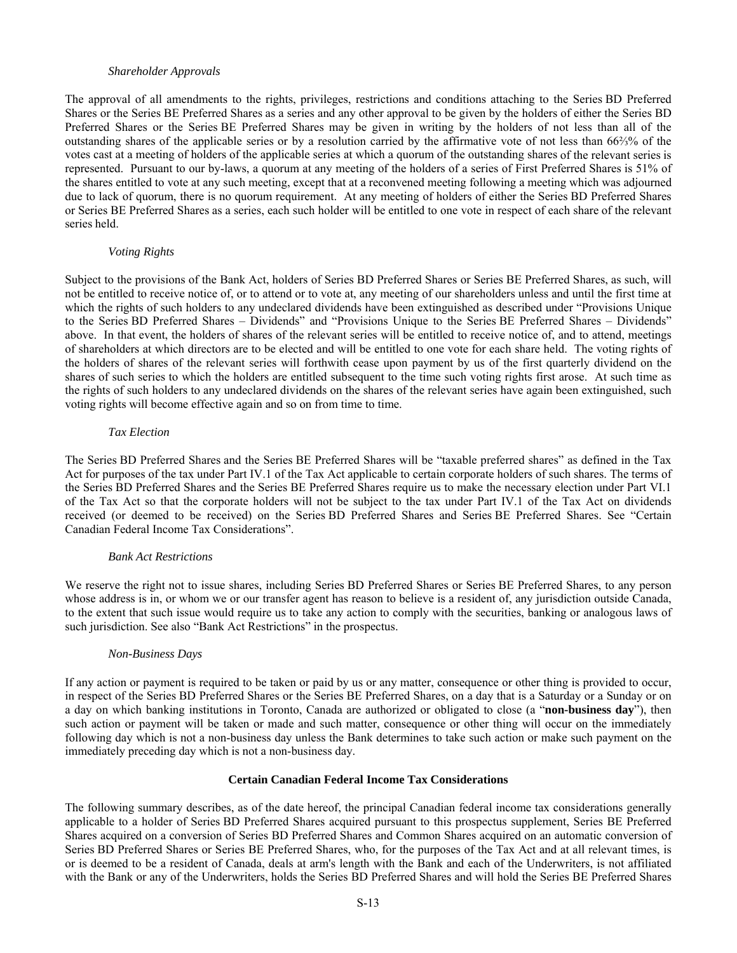### *Shareholder Approvals*

The approval of all amendments to the rights, privileges, restrictions and conditions attaching to the Series BD Preferred Shares or the Series BE Preferred Shares as a series and any other approval to be given by the holders of either the Series BD Preferred Shares or the Series BE Preferred Shares may be given in writing by the holders of not less than all of the outstanding shares of the applicable series or by a resolution carried by the affirmative vote of not less than 66⅔% of the votes cast at a meeting of holders of the applicable series at which a quorum of the outstanding shares of the relevant series is represented. Pursuant to our by-laws, a quorum at any meeting of the holders of a series of First Preferred Shares is 51% of the shares entitled to vote at any such meeting, except that at a reconvened meeting following a meeting which was adjourned due to lack of quorum, there is no quorum requirement. At any meeting of holders of either the Series BD Preferred Shares or Series BE Preferred Shares as a series, each such holder will be entitled to one vote in respect of each share of the relevant series held.

# *Voting Rights*

Subject to the provisions of the Bank Act, holders of Series BD Preferred Shares or Series BE Preferred Shares, as such, will not be entitled to receive notice of, or to attend or to vote at, any meeting of our shareholders unless and until the first time at which the rights of such holders to any undeclared dividends have been extinguished as described under "Provisions Unique to the Series BD Preferred Shares – Dividends" and "Provisions Unique to the Series BE Preferred Shares – Dividends" above. In that event, the holders of shares of the relevant series will be entitled to receive notice of, and to attend, meetings of shareholders at which directors are to be elected and will be entitled to one vote for each share held. The voting rights of the holders of shares of the relevant series will forthwith cease upon payment by us of the first quarterly dividend on the shares of such series to which the holders are entitled subsequent to the time such voting rights first arose. At such time as the rights of such holders to any undeclared dividends on the shares of the relevant series have again been extinguished, such voting rights will become effective again and so on from time to time.

# *Tax Election*

The Series BD Preferred Shares and the Series BE Preferred Shares will be "taxable preferred shares" as defined in the Tax Act for purposes of the tax under Part IV.1 of the Tax Act applicable to certain corporate holders of such shares. The terms of the Series BD Preferred Shares and the Series BE Preferred Shares require us to make the necessary election under Part VI.1 of the Tax Act so that the corporate holders will not be subject to the tax under Part IV.1 of the Tax Act on dividends received (or deemed to be received) on the Series BD Preferred Shares and Series BE Preferred Shares. See "Certain Canadian Federal Income Tax Considerations".

#### *Bank Act Restrictions*

We reserve the right not to issue shares, including Series BD Preferred Shares or Series BE Preferred Shares, to any person whose address is in, or whom we or our transfer agent has reason to believe is a resident of, any jurisdiction outside Canada, to the extent that such issue would require us to take any action to comply with the securities, banking or analogous laws of such jurisdiction. See also "Bank Act Restrictions" in the prospectus.

#### *Non-Business Days*

If any action or payment is required to be taken or paid by us or any matter, consequence or other thing is provided to occur, in respect of the Series BD Preferred Shares or the Series BE Preferred Shares, on a day that is a Saturday or a Sunday or on a day on which banking institutions in Toronto, Canada are authorized or obligated to close (a "**non-business day**"), then such action or payment will be taken or made and such matter, consequence or other thing will occur on the immediately following day which is not a non-business day unless the Bank determines to take such action or make such payment on the immediately preceding day which is not a non-business day.

# **Certain Canadian Federal Income Tax Considerations**

The following summary describes, as of the date hereof, the principal Canadian federal income tax considerations generally applicable to a holder of Series BD Preferred Shares acquired pursuant to this prospectus supplement, Series BE Preferred Shares acquired on a conversion of Series BD Preferred Shares and Common Shares acquired on an automatic conversion of Series BD Preferred Shares or Series BE Preferred Shares, who, for the purposes of the Tax Act and at all relevant times, is or is deemed to be a resident of Canada, deals at arm's length with the Bank and each of the Underwriters, is not affiliated with the Bank or any of the Underwriters, holds the Series BD Preferred Shares and will hold the Series BE Preferred Shares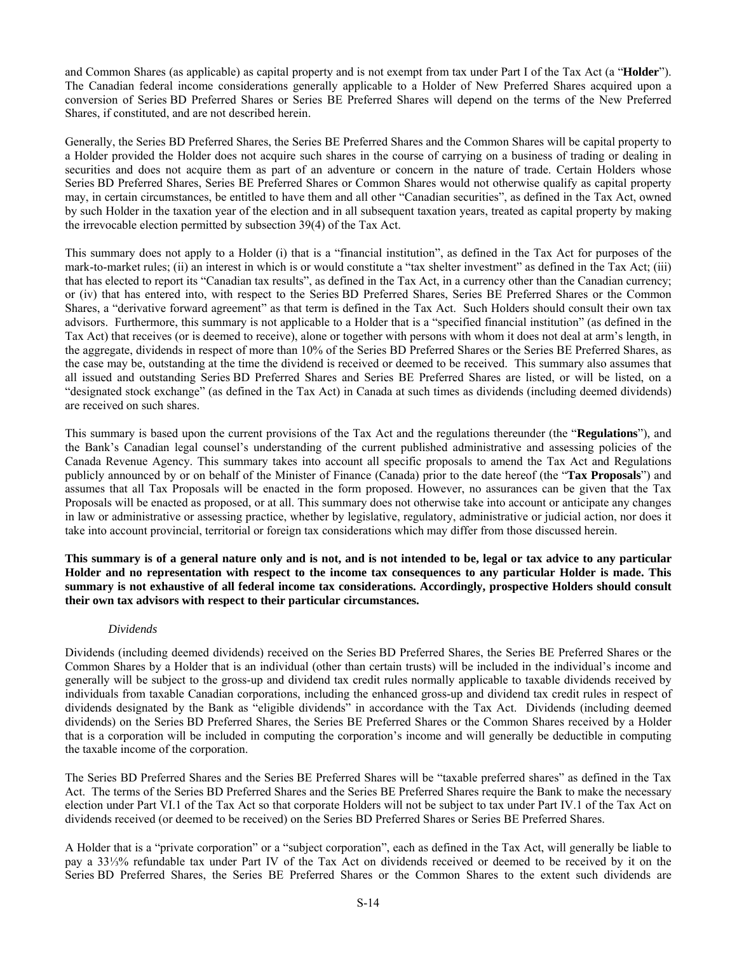and Common Shares (as applicable) as capital property and is not exempt from tax under Part I of the Tax Act (a "**Holder**"). The Canadian federal income considerations generally applicable to a Holder of New Preferred Shares acquired upon a conversion of Series BD Preferred Shares or Series BE Preferred Shares will depend on the terms of the New Preferred Shares, if constituted, and are not described herein.

Generally, the Series BD Preferred Shares, the Series BE Preferred Shares and the Common Shares will be capital property to a Holder provided the Holder does not acquire such shares in the course of carrying on a business of trading or dealing in securities and does not acquire them as part of an adventure or concern in the nature of trade. Certain Holders whose Series BD Preferred Shares, Series BE Preferred Shares or Common Shares would not otherwise qualify as capital property may, in certain circumstances, be entitled to have them and all other "Canadian securities", as defined in the Tax Act, owned by such Holder in the taxation year of the election and in all subsequent taxation years, treated as capital property by making the irrevocable election permitted by subsection 39(4) of the Tax Act.

This summary does not apply to a Holder (i) that is a "financial institution", as defined in the Tax Act for purposes of the mark-to-market rules; (ii) an interest in which is or would constitute a "tax shelter investment" as defined in the Tax Act; (iii) that has elected to report its "Canadian tax results", as defined in the Tax Act, in a currency other than the Canadian currency; or (iv) that has entered into, with respect to the Series BD Preferred Shares, Series BE Preferred Shares or the Common Shares, a "derivative forward agreement" as that term is defined in the Tax Act. Such Holders should consult their own tax advisors. Furthermore, this summary is not applicable to a Holder that is a "specified financial institution" (as defined in the Tax Act) that receives (or is deemed to receive), alone or together with persons with whom it does not deal at arm's length, in the aggregate, dividends in respect of more than 10% of the Series BD Preferred Shares or the Series BE Preferred Shares, as the case may be, outstanding at the time the dividend is received or deemed to be received. This summary also assumes that all issued and outstanding Series BD Preferred Shares and Series BE Preferred Shares are listed, or will be listed, on a "designated stock exchange" (as defined in the Tax Act) in Canada at such times as dividends (including deemed dividends) are received on such shares.

This summary is based upon the current provisions of the Tax Act and the regulations thereunder (the "**Regulations**"), and the Bank's Canadian legal counsel's understanding of the current published administrative and assessing policies of the Canada Revenue Agency. This summary takes into account all specific proposals to amend the Tax Act and Regulations publicly announced by or on behalf of the Minister of Finance (Canada) prior to the date hereof (the "**Tax Proposals**") and assumes that all Tax Proposals will be enacted in the form proposed. However, no assurances can be given that the Tax Proposals will be enacted as proposed, or at all. This summary does not otherwise take into account or anticipate any changes in law or administrative or assessing practice, whether by legislative, regulatory, administrative or judicial action, nor does it take into account provincial, territorial or foreign tax considerations which may differ from those discussed herein.

**This summary is of a general nature only and is not, and is not intended to be, legal or tax advice to any particular Holder and no representation with respect to the income tax consequences to any particular Holder is made. This summary is not exhaustive of all federal income tax considerations. Accordingly, prospective Holders should consult their own tax advisors with respect to their particular circumstances.** 

# *Dividends*

Dividends (including deemed dividends) received on the Series BD Preferred Shares, the Series BE Preferred Shares or the Common Shares by a Holder that is an individual (other than certain trusts) will be included in the individual's income and generally will be subject to the gross-up and dividend tax credit rules normally applicable to taxable dividends received by individuals from taxable Canadian corporations, including the enhanced gross-up and dividend tax credit rules in respect of dividends designated by the Bank as "eligible dividends" in accordance with the Tax Act. Dividends (including deemed dividends) on the Series BD Preferred Shares, the Series BE Preferred Shares or the Common Shares received by a Holder that is a corporation will be included in computing the corporation's income and will generally be deductible in computing the taxable income of the corporation.

The Series BD Preferred Shares and the Series BE Preferred Shares will be "taxable preferred shares" as defined in the Tax Act. The terms of the Series BD Preferred Shares and the Series BE Preferred Shares require the Bank to make the necessary election under Part VI.1 of the Tax Act so that corporate Holders will not be subject to tax under Part IV.1 of the Tax Act on dividends received (or deemed to be received) on the Series BD Preferred Shares or Series BE Preferred Shares.

A Holder that is a "private corporation" or a "subject corporation", each as defined in the Tax Act, will generally be liable to pay a 33⅓% refundable tax under Part IV of the Tax Act on dividends received or deemed to be received by it on the Series BD Preferred Shares, the Series BE Preferred Shares or the Common Shares to the extent such dividends are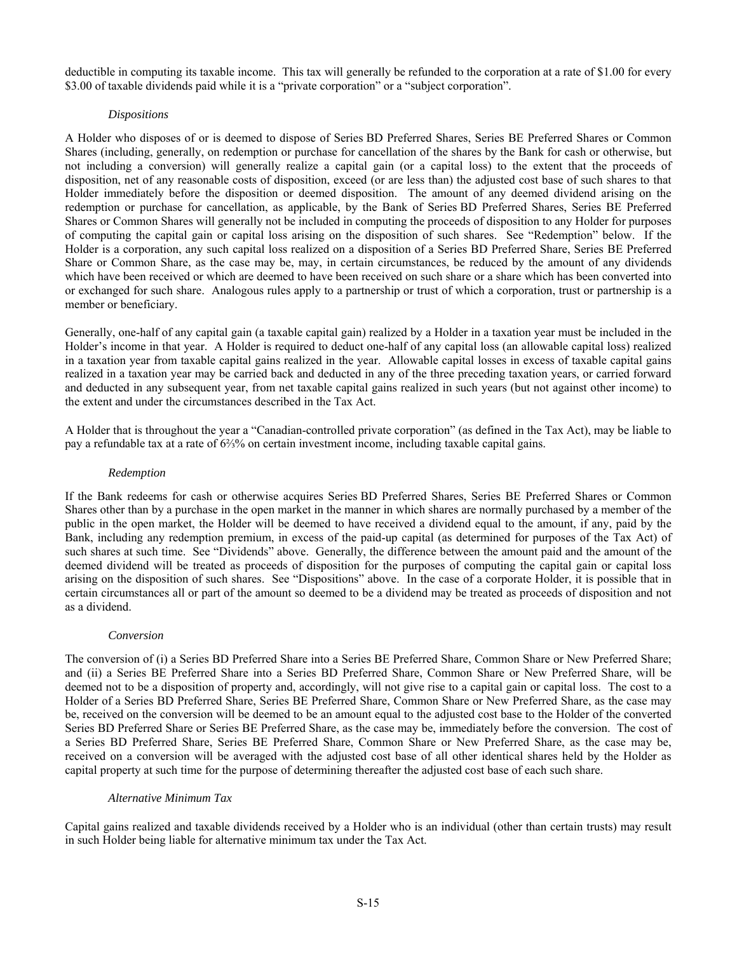deductible in computing its taxable income. This tax will generally be refunded to the corporation at a rate of \$1.00 for every \$3.00 of taxable dividends paid while it is a "private corporation" or a "subject corporation".

# *Dispositions*

A Holder who disposes of or is deemed to dispose of Series BD Preferred Shares, Series BE Preferred Shares or Common Shares (including, generally, on redemption or purchase for cancellation of the shares by the Bank for cash or otherwise, but not including a conversion) will generally realize a capital gain (or a capital loss) to the extent that the proceeds of disposition, net of any reasonable costs of disposition, exceed (or are less than) the adjusted cost base of such shares to that Holder immediately before the disposition or deemed disposition. The amount of any deemed dividend arising on the redemption or purchase for cancellation, as applicable, by the Bank of Series BD Preferred Shares, Series BE Preferred Shares or Common Shares will generally not be included in computing the proceeds of disposition to any Holder for purposes of computing the capital gain or capital loss arising on the disposition of such shares. See "Redemption" below. If the Holder is a corporation, any such capital loss realized on a disposition of a Series BD Preferred Share, Series BE Preferred Share or Common Share, as the case may be, may, in certain circumstances, be reduced by the amount of any dividends which have been received or which are deemed to have been received on such share or a share which has been converted into or exchanged for such share. Analogous rules apply to a partnership or trust of which a corporation, trust or partnership is a member or beneficiary.

Generally, one-half of any capital gain (a taxable capital gain) realized by a Holder in a taxation year must be included in the Holder's income in that year. A Holder is required to deduct one-half of any capital loss (an allowable capital loss) realized in a taxation year from taxable capital gains realized in the year. Allowable capital losses in excess of taxable capital gains realized in a taxation year may be carried back and deducted in any of the three preceding taxation years, or carried forward and deducted in any subsequent year, from net taxable capital gains realized in such years (but not against other income) to the extent and under the circumstances described in the Tax Act.

A Holder that is throughout the year a "Canadian-controlled private corporation" (as defined in the Tax Act), may be liable to pay a refundable tax at a rate of 6⅔% on certain investment income, including taxable capital gains.

### *Redemption*

If the Bank redeems for cash or otherwise acquires Series BD Preferred Shares, Series BE Preferred Shares or Common Shares other than by a purchase in the open market in the manner in which shares are normally purchased by a member of the public in the open market, the Holder will be deemed to have received a dividend equal to the amount, if any, paid by the Bank, including any redemption premium, in excess of the paid-up capital (as determined for purposes of the Tax Act) of such shares at such time. See "Dividends" above. Generally, the difference between the amount paid and the amount of the deemed dividend will be treated as proceeds of disposition for the purposes of computing the capital gain or capital loss arising on the disposition of such shares. See "Dispositions" above. In the case of a corporate Holder, it is possible that in certain circumstances all or part of the amount so deemed to be a dividend may be treated as proceeds of disposition and not as a dividend.

### *Conversion*

The conversion of (i) a Series BD Preferred Share into a Series BE Preferred Share, Common Share or New Preferred Share; and (ii) a Series BE Preferred Share into a Series BD Preferred Share, Common Share or New Preferred Share, will be deemed not to be a disposition of property and, accordingly, will not give rise to a capital gain or capital loss. The cost to a Holder of a Series BD Preferred Share, Series BE Preferred Share, Common Share or New Preferred Share, as the case may be, received on the conversion will be deemed to be an amount equal to the adjusted cost base to the Holder of the converted Series BD Preferred Share or Series BE Preferred Share, as the case may be, immediately before the conversion. The cost of a Series BD Preferred Share, Series BE Preferred Share, Common Share or New Preferred Share, as the case may be, received on a conversion will be averaged with the adjusted cost base of all other identical shares held by the Holder as capital property at such time for the purpose of determining thereafter the adjusted cost base of each such share.

#### *Alternative Minimum Tax*

Capital gains realized and taxable dividends received by a Holder who is an individual (other than certain trusts) may result in such Holder being liable for alternative minimum tax under the Tax Act.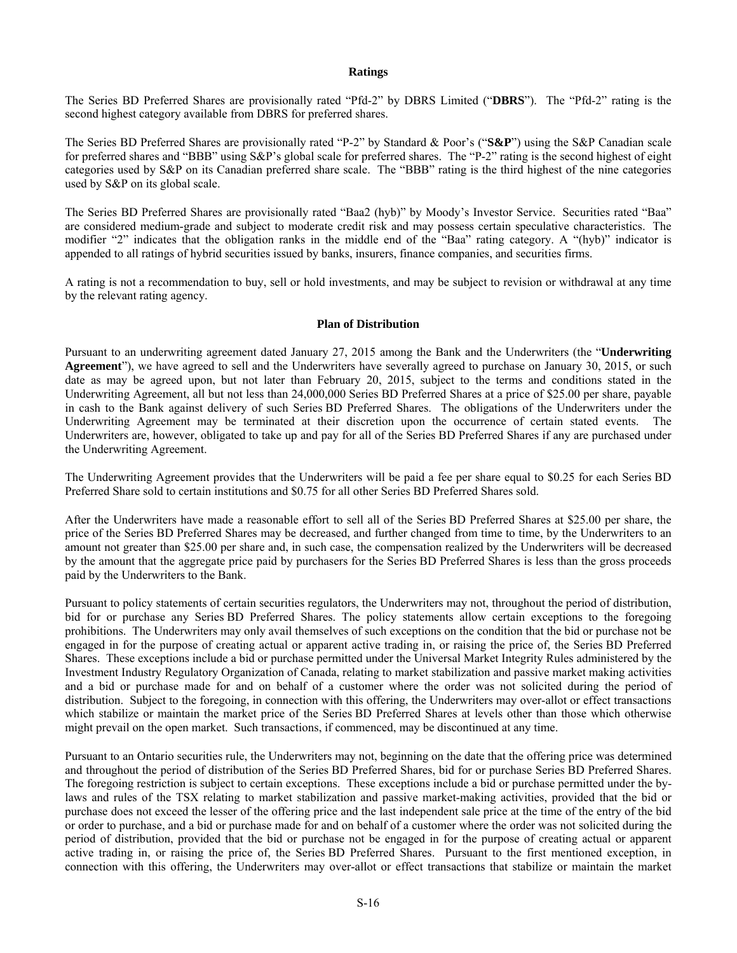## **Ratings**

The Series BD Preferred Shares are provisionally rated "Pfd-2" by DBRS Limited ("**DBRS**"). The "Pfd-2" rating is the second highest category available from DBRS for preferred shares.

The Series BD Preferred Shares are provisionally rated "P-2" by Standard & Poor's ("**S&P**") using the S&P Canadian scale for preferred shares and "BBB" using S&P's global scale for preferred shares. The "P-2" rating is the second highest of eight categories used by S&P on its Canadian preferred share scale. The "BBB" rating is the third highest of the nine categories used by S&P on its global scale.

The Series BD Preferred Shares are provisionally rated "Baa2 (hyb)" by Moody's Investor Service. Securities rated "Baa" are considered medium-grade and subject to moderate credit risk and may possess certain speculative characteristics. The modifier "2" indicates that the obligation ranks in the middle end of the "Baa" rating category. A "(hyb)" indicator is appended to all ratings of hybrid securities issued by banks, insurers, finance companies, and securities firms.

A rating is not a recommendation to buy, sell or hold investments, and may be subject to revision or withdrawal at any time by the relevant rating agency.

# **Plan of Distribution**

Pursuant to an underwriting agreement dated January 27, 2015 among the Bank and the Underwriters (the "**Underwriting Agreement**"), we have agreed to sell and the Underwriters have severally agreed to purchase on January 30, 2015, or such date as may be agreed upon, but not later than February 20, 2015, subject to the terms and conditions stated in the Underwriting Agreement, all but not less than 24,000,000 Series BD Preferred Shares at a price of \$25.00 per share, payable in cash to the Bank against delivery of such Series BD Preferred Shares. The obligations of the Underwriters under the Underwriting Agreement may be terminated at their discretion upon the occurrence of certain stated events. The Underwriters are, however, obligated to take up and pay for all of the Series BD Preferred Shares if any are purchased under the Underwriting Agreement.

The Underwriting Agreement provides that the Underwriters will be paid a fee per share equal to \$0.25 for each Series BD Preferred Share sold to certain institutions and \$0.75 for all other Series BD Preferred Shares sold.

After the Underwriters have made a reasonable effort to sell all of the Series BD Preferred Shares at \$25.00 per share, the price of the Series BD Preferred Shares may be decreased, and further changed from time to time, by the Underwriters to an amount not greater than \$25.00 per share and, in such case, the compensation realized by the Underwriters will be decreased by the amount that the aggregate price paid by purchasers for the Series BD Preferred Shares is less than the gross proceeds paid by the Underwriters to the Bank.

Pursuant to policy statements of certain securities regulators, the Underwriters may not, throughout the period of distribution, bid for or purchase any Series BD Preferred Shares. The policy statements allow certain exceptions to the foregoing prohibitions. The Underwriters may only avail themselves of such exceptions on the condition that the bid or purchase not be engaged in for the purpose of creating actual or apparent active trading in, or raising the price of, the Series BD Preferred Shares. These exceptions include a bid or purchase permitted under the Universal Market Integrity Rules administered by the Investment Industry Regulatory Organization of Canada, relating to market stabilization and passive market making activities and a bid or purchase made for and on behalf of a customer where the order was not solicited during the period of distribution. Subject to the foregoing, in connection with this offering, the Underwriters may over-allot or effect transactions which stabilize or maintain the market price of the Series BD Preferred Shares at levels other than those which otherwise might prevail on the open market. Such transactions, if commenced, may be discontinued at any time.

Pursuant to an Ontario securities rule, the Underwriters may not, beginning on the date that the offering price was determined and throughout the period of distribution of the Series BD Preferred Shares, bid for or purchase Series BD Preferred Shares. The foregoing restriction is subject to certain exceptions. These exceptions include a bid or purchase permitted under the bylaws and rules of the TSX relating to market stabilization and passive market-making activities, provided that the bid or purchase does not exceed the lesser of the offering price and the last independent sale price at the time of the entry of the bid or order to purchase, and a bid or purchase made for and on behalf of a customer where the order was not solicited during the period of distribution, provided that the bid or purchase not be engaged in for the purpose of creating actual or apparent active trading in, or raising the price of, the Series BD Preferred Shares. Pursuant to the first mentioned exception, in connection with this offering, the Underwriters may over-allot or effect transactions that stabilize or maintain the market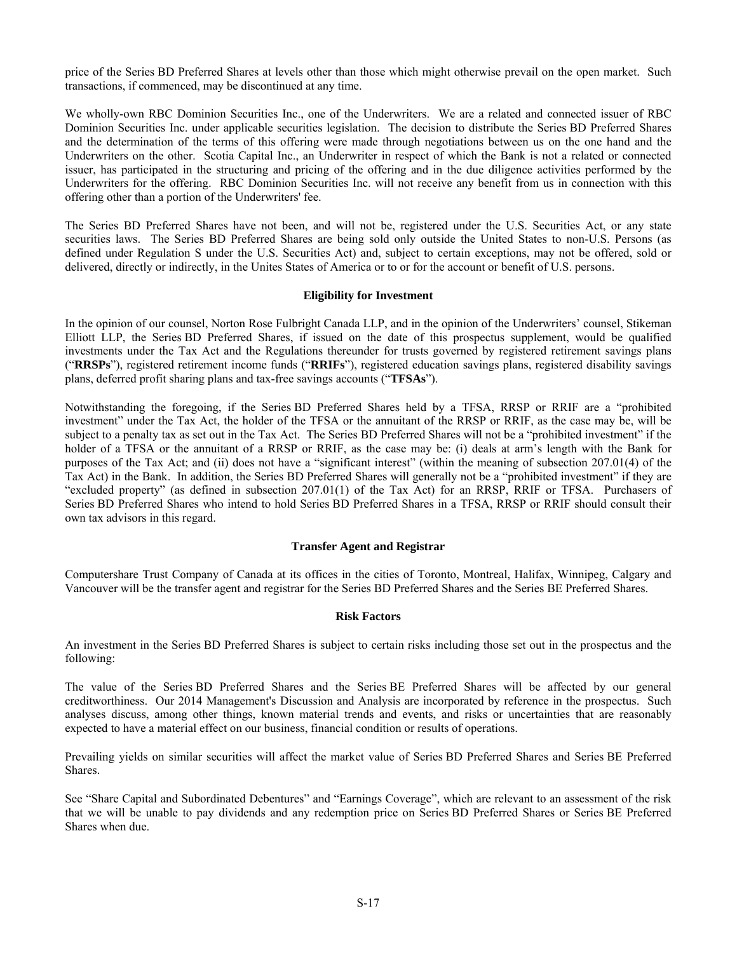price of the Series BD Preferred Shares at levels other than those which might otherwise prevail on the open market. Such transactions, if commenced, may be discontinued at any time.

We wholly-own RBC Dominion Securities Inc., one of the Underwriters. We are a related and connected issuer of RBC Dominion Securities Inc. under applicable securities legislation. The decision to distribute the Series BD Preferred Shares and the determination of the terms of this offering were made through negotiations between us on the one hand and the Underwriters on the other. Scotia Capital Inc., an Underwriter in respect of which the Bank is not a related or connected issuer, has participated in the structuring and pricing of the offering and in the due diligence activities performed by the Underwriters for the offering. RBC Dominion Securities Inc. will not receive any benefit from us in connection with this offering other than a portion of the Underwriters' fee.

The Series BD Preferred Shares have not been, and will not be, registered under the U.S. Securities Act, or any state securities laws. The Series BD Preferred Shares are being sold only outside the United States to non-U.S. Persons (as defined under Regulation S under the U.S. Securities Act) and, subject to certain exceptions, may not be offered, sold or delivered, directly or indirectly, in the Unites States of America or to or for the account or benefit of U.S. persons.

#### **Eligibility for Investment**

In the opinion of our counsel, Norton Rose Fulbright Canada LLP, and in the opinion of the Underwriters' counsel, Stikeman Elliott LLP, the Series BD Preferred Shares, if issued on the date of this prospectus supplement, would be qualified investments under the Tax Act and the Regulations thereunder for trusts governed by registered retirement savings plans ("**RRSPs**"), registered retirement income funds ("**RRIFs**"), registered education savings plans, registered disability savings plans, deferred profit sharing plans and tax-free savings accounts ("**TFSAs**").

Notwithstanding the foregoing, if the Series BD Preferred Shares held by a TFSA, RRSP or RRIF are a "prohibited investment" under the Tax Act, the holder of the TFSA or the annuitant of the RRSP or RRIF, as the case may be, will be subject to a penalty tax as set out in the Tax Act. The Series BD Preferred Shares will not be a "prohibited investment" if the holder of a TFSA or the annuitant of a RRSP or RRIF, as the case may be: (i) deals at arm's length with the Bank for purposes of the Tax Act; and (ii) does not have a "significant interest" (within the meaning of subsection 207.01(4) of the Tax Act) in the Bank. In addition, the Series BD Preferred Shares will generally not be a "prohibited investment" if they are "excluded property" (as defined in subsection 207.01(1) of the Tax Act) for an RRSP, RRIF or TFSA. Purchasers of Series BD Preferred Shares who intend to hold Series BD Preferred Shares in a TFSA, RRSP or RRIF should consult their own tax advisors in this regard.

#### **Transfer Agent and Registrar**

Computershare Trust Company of Canada at its offices in the cities of Toronto, Montreal, Halifax, Winnipeg, Calgary and Vancouver will be the transfer agent and registrar for the Series BD Preferred Shares and the Series BE Preferred Shares.

#### **Risk Factors**

An investment in the Series BD Preferred Shares is subject to certain risks including those set out in the prospectus and the following:

The value of the Series BD Preferred Shares and the Series BE Preferred Shares will be affected by our general creditworthiness. Our 2014 Management's Discussion and Analysis are incorporated by reference in the prospectus. Such analyses discuss, among other things, known material trends and events, and risks or uncertainties that are reasonably expected to have a material effect on our business, financial condition or results of operations.

Prevailing yields on similar securities will affect the market value of Series BD Preferred Shares and Series BE Preferred Shares.

See "Share Capital and Subordinated Debentures" and "Earnings Coverage", which are relevant to an assessment of the risk that we will be unable to pay dividends and any redemption price on Series BD Preferred Shares or Series BE Preferred Shares when due.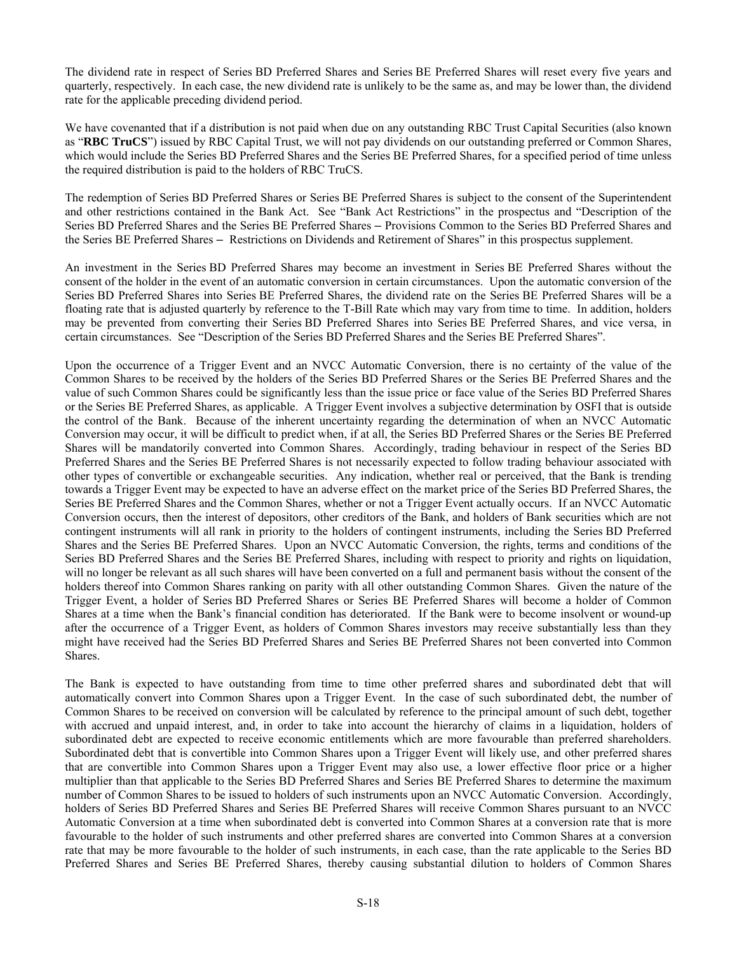The dividend rate in respect of Series BD Preferred Shares and Series BE Preferred Shares will reset every five years and quarterly, respectively. In each case, the new dividend rate is unlikely to be the same as, and may be lower than, the dividend rate for the applicable preceding dividend period.

We have covenanted that if a distribution is not paid when due on any outstanding RBC Trust Capital Securities (also known as "**RBC TruCS**") issued by RBC Capital Trust, we will not pay dividends on our outstanding preferred or Common Shares, which would include the Series BD Preferred Shares and the Series BE Preferred Shares, for a specified period of time unless the required distribution is paid to the holders of RBC TruCS.

The redemption of Series BD Preferred Shares or Series BE Preferred Shares is subject to the consent of the Superintendent and other restrictions contained in the Bank Act. See "Bank Act Restrictions" in the prospectus and "Description of the Series BD Preferred Shares and the Series BE Preferred Shares – Provisions Common to the Series BD Preferred Shares and the Series BE Preferred Shares – Restrictions on Dividends and Retirement of Shares" in this prospectus supplement.

An investment in the Series BD Preferred Shares may become an investment in Series BE Preferred Shares without the consent of the holder in the event of an automatic conversion in certain circumstances. Upon the automatic conversion of the Series BD Preferred Shares into Series BE Preferred Shares, the dividend rate on the Series BE Preferred Shares will be a floating rate that is adjusted quarterly by reference to the T-Bill Rate which may vary from time to time. In addition, holders may be prevented from converting their Series BD Preferred Shares into Series BE Preferred Shares, and vice versa, in certain circumstances. See "Description of the Series BD Preferred Shares and the Series BE Preferred Shares".

Upon the occurrence of a Trigger Event and an NVCC Automatic Conversion, there is no certainty of the value of the Common Shares to be received by the holders of the Series BD Preferred Shares or the Series BE Preferred Shares and the value of such Common Shares could be significantly less than the issue price or face value of the Series BD Preferred Shares or the Series BE Preferred Shares, as applicable. A Trigger Event involves a subjective determination by OSFI that is outside the control of the Bank. Because of the inherent uncertainty regarding the determination of when an NVCC Automatic Conversion may occur, it will be difficult to predict when, if at all, the Series BD Preferred Shares or the Series BE Preferred Shares will be mandatorily converted into Common Shares. Accordingly, trading behaviour in respect of the Series BD Preferred Shares and the Series BE Preferred Shares is not necessarily expected to follow trading behaviour associated with other types of convertible or exchangeable securities. Any indication, whether real or perceived, that the Bank is trending towards a Trigger Event may be expected to have an adverse effect on the market price of the Series BD Preferred Shares, the Series BE Preferred Shares and the Common Shares, whether or not a Trigger Event actually occurs. If an NVCC Automatic Conversion occurs, then the interest of depositors, other creditors of the Bank, and holders of Bank securities which are not contingent instruments will all rank in priority to the holders of contingent instruments, including the Series BD Preferred Shares and the Series BE Preferred Shares. Upon an NVCC Automatic Conversion, the rights, terms and conditions of the Series BD Preferred Shares and the Series BE Preferred Shares, including with respect to priority and rights on liquidation, will no longer be relevant as all such shares will have been converted on a full and permanent basis without the consent of the holders thereof into Common Shares ranking on parity with all other outstanding Common Shares. Given the nature of the Trigger Event, a holder of Series BD Preferred Shares or Series BE Preferred Shares will become a holder of Common Shares at a time when the Bank's financial condition has deteriorated. If the Bank were to become insolvent or wound-up after the occurrence of a Trigger Event, as holders of Common Shares investors may receive substantially less than they might have received had the Series BD Preferred Shares and Series BE Preferred Shares not been converted into Common Shares.

The Bank is expected to have outstanding from time to time other preferred shares and subordinated debt that will automatically convert into Common Shares upon a Trigger Event. In the case of such subordinated debt, the number of Common Shares to be received on conversion will be calculated by reference to the principal amount of such debt, together with accrued and unpaid interest, and, in order to take into account the hierarchy of claims in a liquidation, holders of subordinated debt are expected to receive economic entitlements which are more favourable than preferred shareholders. Subordinated debt that is convertible into Common Shares upon a Trigger Event will likely use, and other preferred shares that are convertible into Common Shares upon a Trigger Event may also use, a lower effective floor price or a higher multiplier than that applicable to the Series BD Preferred Shares and Series BE Preferred Shares to determine the maximum number of Common Shares to be issued to holders of such instruments upon an NVCC Automatic Conversion. Accordingly, holders of Series BD Preferred Shares and Series BE Preferred Shares will receive Common Shares pursuant to an NVCC Automatic Conversion at a time when subordinated debt is converted into Common Shares at a conversion rate that is more favourable to the holder of such instruments and other preferred shares are converted into Common Shares at a conversion rate that may be more favourable to the holder of such instruments, in each case, than the rate applicable to the Series BD Preferred Shares and Series BE Preferred Shares, thereby causing substantial dilution to holders of Common Shares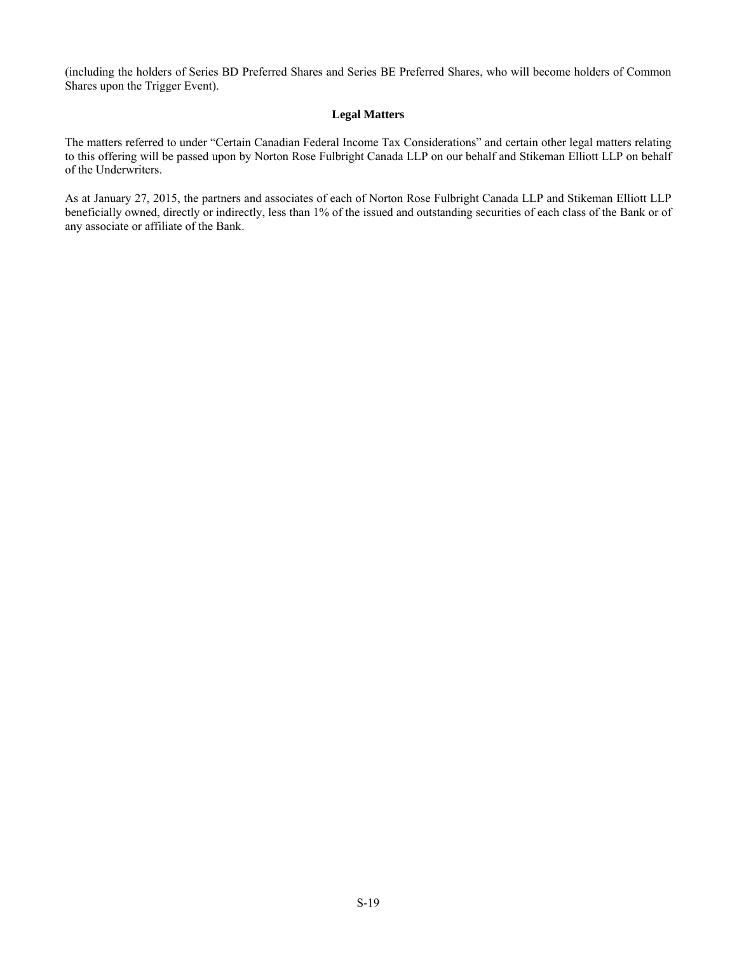(including the holders of Series BD Preferred Shares and Series BE Preferred Shares, who will become holders of Common Shares upon the Trigger Event).

# **Legal Matters**

The matters referred to under "Certain Canadian Federal Income Tax Considerations" and certain other legal matters relating to this offering will be passed upon by Norton Rose Fulbright Canada LLP on our behalf and Stikeman Elliott LLP on behalf of the Underwriters.

As at January 27, 2015, the partners and associates of each of Norton Rose Fulbright Canada LLP and Stikeman Elliott LLP beneficially owned, directly or indirectly, less than 1% of the issued and outstanding securities of each class of the Bank or of any associate or affiliate of the Bank.